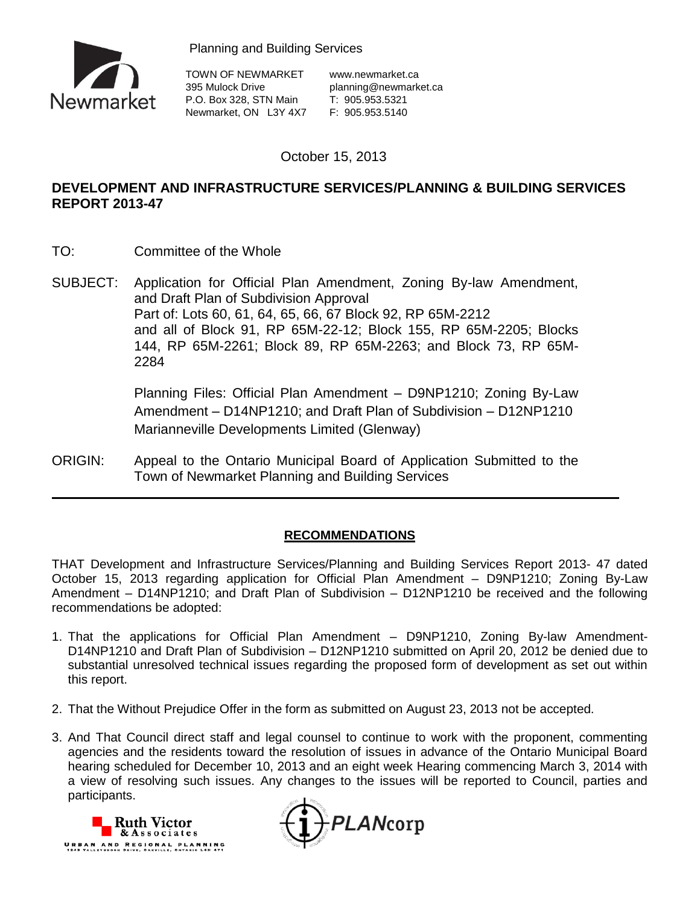



TOWN OF NEWMARKET www.newmarket.ca 395 Mulock Drive planning@newmarket.ca<br>P.O. Box 328, STN Main T: 905.953.5321<br>Newmarket ON 1.07.175 P.O. Box 328, STN Main T: 905.953.5321 Newmarket, ON L3Y 4X7 F: 905.953.5140

October 15, 2013

# **DEVELOPMENT AND INFRASTRUCTURE SERVICES/PLANNING & BUILDING SERVICES REPORT 2013-47**

- TO: Committee of the Whole
- SUBJECT: Application for Official Plan Amendment, Zoning By-law Amendment, and Draft Plan of Subdivision Approval Part of: Lots 60, 61, 64, 65, 66, 67 Block 92, RP 65M-2212 and all of Block 91, RP 65M-22-12; Block 155, RP 65M-2205; Blocks 144, RP 65M-2261; Block 89, RP 65M-2263; and Block 73, RP 65M-2284

Planning Files: Official Plan Amendment – D9NP1210; Zoning By-Law Amendment – D14NP1210; and Draft Plan of Subdivision – D12NP1210 Marianneville Developments Limited (Glenway)

ORIGIN: Appeal to the Ontario Municipal Board of Application Submitted to the Town of Newmarket Planning and Building Services

# **RECOMMENDATIONS**

THAT Development and Infrastructure Services/Planning and Building Services Report 2013- 47 dated October 15, 2013 regarding application for Official Plan Amendment – D9NP1210; Zoning By-Law Amendment – D14NP1210; and Draft Plan of Subdivision – D12NP1210 be received and the following recommendations be adopted:

- 1. That the applications for Official Plan Amendment D9NP1210, Zoning By-law Amendment-D14NP1210 and Draft Plan of Subdivision – D12NP1210 submitted on April 20, 2012 be denied due to substantial unresolved technical issues regarding the proposed form of development as set out within this report.
- 2. That the Without Prejudice Offer in the form as submitted on August 23, 2013 not be accepted.
- 3. And That Council direct staff and legal counsel to continue to work with the proponent, commenting agencies and the residents toward the resolution of issues in advance of the Ontario Municipal Board hearing scheduled for December 10, 2013 and an eight week Hearing commencing March 3, 2014 with a view of resolving such issues. Any changes to the issues will be reported to Council, parties and participants.



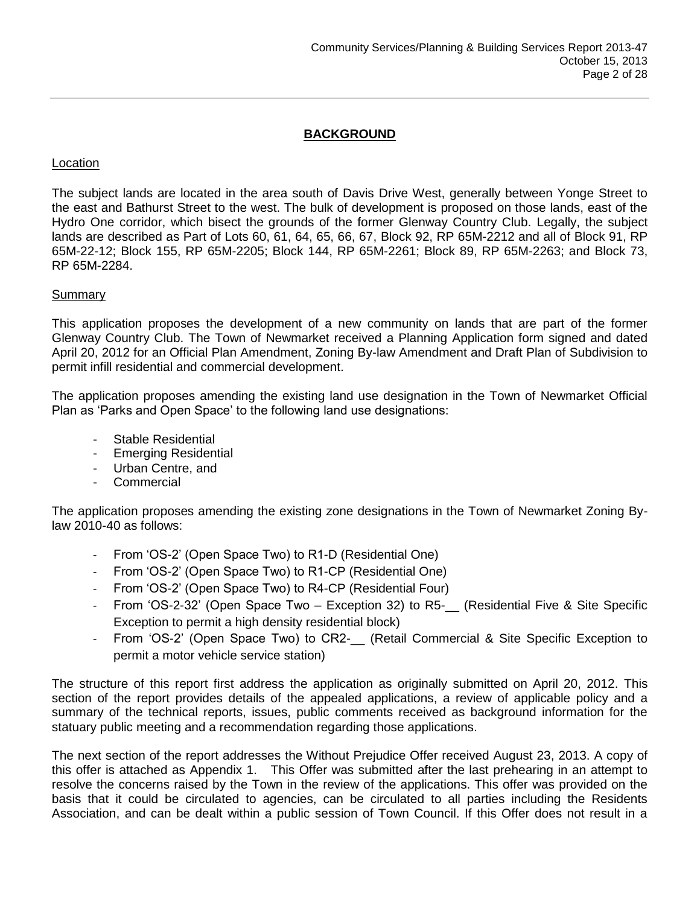# **BACKGROUND**

# **Location**

The subject lands are located in the area south of Davis Drive West, generally between Yonge Street to the east and Bathurst Street to the west. The bulk of development is proposed on those lands, east of the Hydro One corridor, which bisect the grounds of the former Glenway Country Club. Legally, the subject lands are described as Part of Lots 60, 61, 64, 65, 66, 67, Block 92, RP 65M-2212 and all of Block 91, RP 65M-22-12; Block 155, RP 65M-2205; Block 144, RP 65M-2261; Block 89, RP 65M-2263; and Block 73, RP 65M-2284.

# **Summary**

This application proposes the development of a new community on lands that are part of the former Glenway Country Club. The Town of Newmarket received a Planning Application form signed and dated April 20, 2012 for an Official Plan Amendment, Zoning By-law Amendment and Draft Plan of Subdivision to permit infill residential and commercial development.

The application proposes amending the existing land use designation in the Town of Newmarket Official Plan as 'Parks and Open Space' to the following land use designations:

- Stable Residential
- Emerging Residential
- Urban Centre, and
- **Commercial**

The application proposes amending the existing zone designations in the Town of Newmarket Zoning Bylaw 2010-40 as follows:

- From 'OS-2' (Open Space Two) to R1-D (Residential One)
- From 'OS-2' (Open Space Two) to R1-CP (Residential One)
- From 'OS-2' (Open Space Two) to R4-CP (Residential Four)
- From 'OS-2-32' (Open Space Two Exception 32) to R5- (Residential Five & Site Specific Exception to permit a high density residential block)
- From 'OS-2' (Open Space Two) to CR2- (Retail Commercial & Site Specific Exception to permit a motor vehicle service station)

The structure of this report first address the application as originally submitted on April 20, 2012. This section of the report provides details of the appealed applications, a review of applicable policy and a summary of the technical reports, issues, public comments received as background information for the statuary public meeting and a recommendation regarding those applications.

The next section of the report addresses the Without Prejudice Offer received August 23, 2013. A copy of this offer is attached as Appendix 1. This Offer was submitted after the last prehearing in an attempt to resolve the concerns raised by the Town in the review of the applications. This offer was provided on the basis that it could be circulated to agencies, can be circulated to all parties including the Residents Association, and can be dealt within a public session of Town Council. If this Offer does not result in a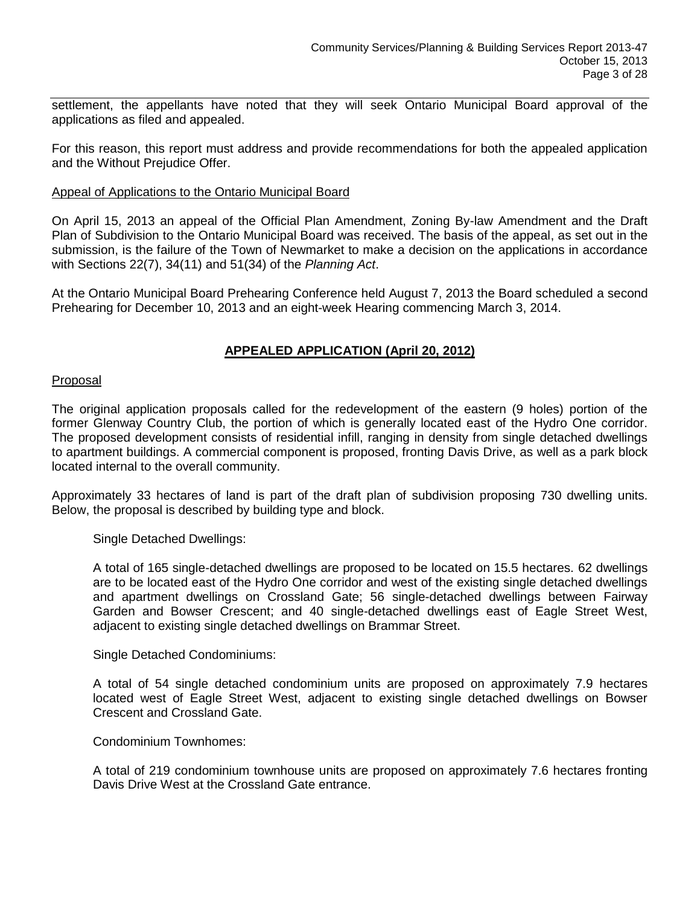settlement, the appellants have noted that they will seek Ontario Municipal Board approval of the applications as filed and appealed.

For this reason, this report must address and provide recommendations for both the appealed application and the Without Prejudice Offer.

#### Appeal of Applications to the Ontario Municipal Board

On April 15, 2013 an appeal of the Official Plan Amendment, Zoning By-law Amendment and the Draft Plan of Subdivision to the Ontario Municipal Board was received. The basis of the appeal, as set out in the submission, is the failure of the Town of Newmarket to make a decision on the applications in accordance with Sections 22(7), 34(11) and 51(34) of the *Planning Act*.

At the Ontario Municipal Board Prehearing Conference held August 7, 2013 the Board scheduled a second Prehearing for December 10, 2013 and an eight-week Hearing commencing March 3, 2014.

# **APPEALED APPLICATION (April 20, 2012)**

#### Proposal

The original application proposals called for the redevelopment of the eastern (9 holes) portion of the former Glenway Country Club, the portion of which is generally located east of the Hydro One corridor. The proposed development consists of residential infill, ranging in density from single detached dwellings to apartment buildings. A commercial component is proposed, fronting Davis Drive, as well as a park block located internal to the overall community.

Approximately 33 hectares of land is part of the draft plan of subdivision proposing 730 dwelling units. Below, the proposal is described by building type and block.

Single Detached Dwellings:

A total of 165 single-detached dwellings are proposed to be located on 15.5 hectares. 62 dwellings are to be located east of the Hydro One corridor and west of the existing single detached dwellings and apartment dwellings on Crossland Gate; 56 single-detached dwellings between Fairway Garden and Bowser Crescent; and 40 single-detached dwellings east of Eagle Street West, adjacent to existing single detached dwellings on Brammar Street.

Single Detached Condominiums:

A total of 54 single detached condominium units are proposed on approximately 7.9 hectares located west of Eagle Street West, adjacent to existing single detached dwellings on Bowser Crescent and Crossland Gate.

#### Condominium Townhomes:

A total of 219 condominium townhouse units are proposed on approximately 7.6 hectares fronting Davis Drive West at the Crossland Gate entrance.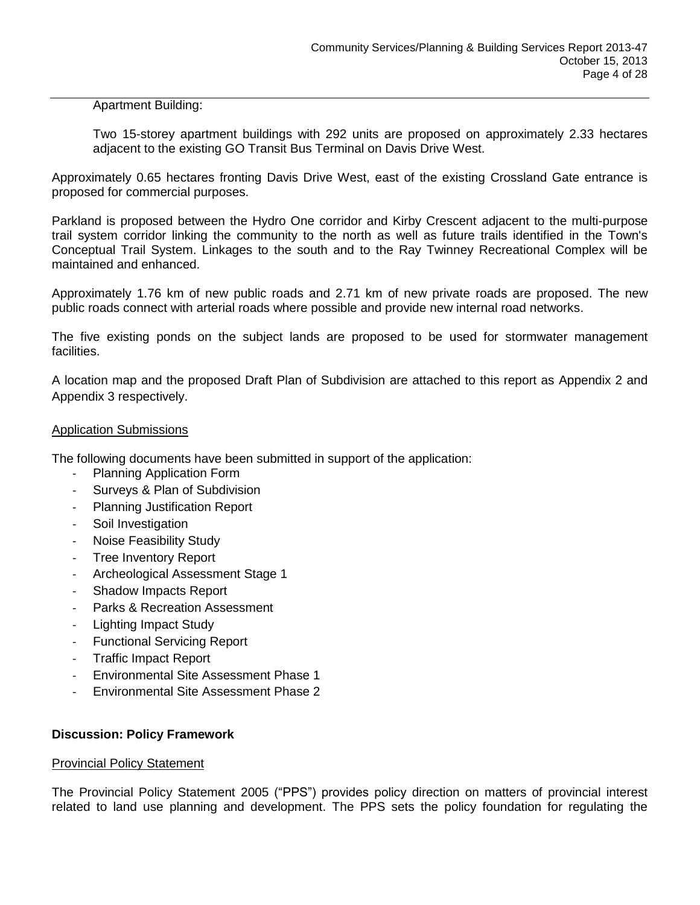# Apartment Building:

Two 15-storey apartment buildings with 292 units are proposed on approximately 2.33 hectares adjacent to the existing GO Transit Bus Terminal on Davis Drive West.

Approximately 0.65 hectares fronting Davis Drive West, east of the existing Crossland Gate entrance is proposed for commercial purposes.

Parkland is proposed between the Hydro One corridor and Kirby Crescent adjacent to the multi-purpose trail system corridor linking the community to the north as well as future trails identified in the Town's Conceptual Trail System. Linkages to the south and to the Ray Twinney Recreational Complex will be maintained and enhanced.

Approximately 1.76 km of new public roads and 2.71 km of new private roads are proposed. The new public roads connect with arterial roads where possible and provide new internal road networks.

The five existing ponds on the subject lands are proposed to be used for stormwater management facilities.

A location map and the proposed Draft Plan of Subdivision are attached to this report as Appendix 2 and Appendix 3 respectively.

# Application Submissions

The following documents have been submitted in support of the application:

- Planning Application Form
- Surveys & Plan of Subdivision
- Planning Justification Report
- Soil Investigation
- Noise Feasibility Study
- Tree Inventory Report
- Archeological Assessment Stage 1
- Shadow Impacts Report
- Parks & Recreation Assessment
- Lighting Impact Study
- Functional Servicing Report
- Traffic Impact Report
- Environmental Site Assessment Phase 1
- Environmental Site Assessment Phase 2

#### **Discussion: Policy Framework**

#### Provincial Policy Statement

The Provincial Policy Statement 2005 ("PPS") provides policy direction on matters of provincial interest related to land use planning and development. The PPS sets the policy foundation for regulating the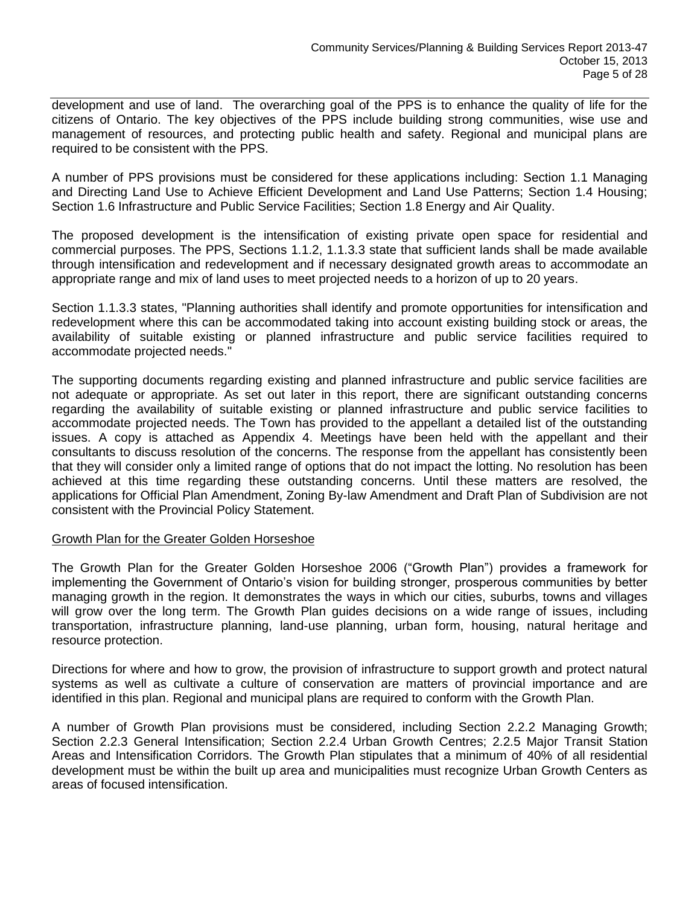development and use of land. The overarching goal of the PPS is to enhance the quality of life for the citizens of Ontario. The key objectives of the PPS include building strong communities, wise use and management of resources, and protecting public health and safety. Regional and municipal plans are required to be consistent with the PPS.

A number of PPS provisions must be considered for these applications including: Section 1.1 Managing and Directing Land Use to Achieve Efficient Development and Land Use Patterns; Section 1.4 Housing; Section 1.6 Infrastructure and Public Service Facilities; Section 1.8 Energy and Air Quality.

The proposed development is the intensification of existing private open space for residential and commercial purposes. The PPS, Sections 1.1.2, 1.1.3.3 state that sufficient lands shall be made available through intensification and redevelopment and if necessary designated growth areas to accommodate an appropriate range and mix of land uses to meet projected needs to a horizon of up to 20 years.

Section 1.1.3.3 states, "Planning authorities shall identify and promote opportunities for intensification and redevelopment where this can be accommodated taking into account existing building stock or areas, the availability of suitable existing or planned infrastructure and public service facilities required to accommodate projected needs."

The supporting documents regarding existing and planned infrastructure and public service facilities are not adequate or appropriate. As set out later in this report, there are significant outstanding concerns regarding the availability of suitable existing or planned infrastructure and public service facilities to accommodate projected needs. The Town has provided to the appellant a detailed list of the outstanding issues. A copy is attached as Appendix 4. Meetings have been held with the appellant and their consultants to discuss resolution of the concerns. The response from the appellant has consistently been that they will consider only a limited range of options that do not impact the lotting. No resolution has been achieved at this time regarding these outstanding concerns. Until these matters are resolved, the applications for Official Plan Amendment, Zoning By-law Amendment and Draft Plan of Subdivision are not consistent with the Provincial Policy Statement.

#### Growth Plan for the Greater Golden Horseshoe

The Growth Plan for the Greater Golden Horseshoe 2006 ("Growth Plan") provides a framework for implementing the Government of Ontario's vision for building stronger, prosperous communities by better managing growth in the region. It demonstrates the ways in which our cities, suburbs, towns and villages will grow over the long term. The Growth Plan guides decisions on a wide range of issues, including transportation, infrastructure planning, land-use planning, urban form, housing, natural heritage and resource protection.

Directions for where and how to grow, the provision of infrastructure to support growth and protect natural systems as well as cultivate a culture of conservation are matters of provincial importance and are identified in this plan. Regional and municipal plans are required to conform with the Growth Plan.

A number of Growth Plan provisions must be considered, including Section 2.2.2 Managing Growth; Section 2.2.3 General Intensification; Section 2.2.4 Urban Growth Centres; 2.2.5 Major Transit Station Areas and Intensification Corridors. The Growth Plan stipulates that a minimum of 40% of all residential development must be within the built up area and municipalities must recognize Urban Growth Centers as areas of focused intensification.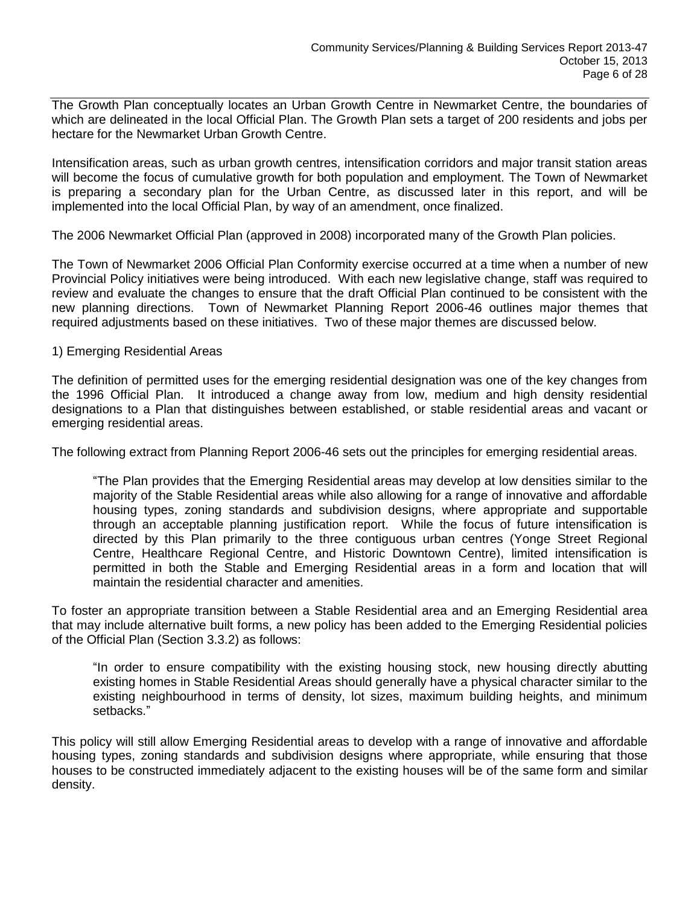The Growth Plan conceptually locates an Urban Growth Centre in Newmarket Centre, the boundaries of which are delineated in the local Official Plan. The Growth Plan sets a target of 200 residents and jobs per hectare for the Newmarket Urban Growth Centre.

Intensification areas, such as urban growth centres, intensification corridors and major transit station areas will become the focus of cumulative growth for both population and employment. The Town of Newmarket is preparing a secondary plan for the Urban Centre, as discussed later in this report, and will be implemented into the local Official Plan, by way of an amendment, once finalized.

The 2006 Newmarket Official Plan (approved in 2008) incorporated many of the Growth Plan policies.

The Town of Newmarket 2006 Official Plan Conformity exercise occurred at a time when a number of new Provincial Policy initiatives were being introduced. With each new legislative change, staff was required to review and evaluate the changes to ensure that the draft Official Plan continued to be consistent with the new planning directions. Town of Newmarket Planning Report 2006-46 outlines major themes that required adjustments based on these initiatives. Two of these major themes are discussed below.

# 1) Emerging Residential Areas

The definition of permitted uses for the emerging residential designation was one of the key changes from the 1996 Official Plan. It introduced a change away from low, medium and high density residential designations to a Plan that distinguishes between established, or stable residential areas and vacant or emerging residential areas.

The following extract from Planning Report 2006-46 sets out the principles for emerging residential areas.

"The Plan provides that the Emerging Residential areas may develop at low densities similar to the majority of the Stable Residential areas while also allowing for a range of innovative and affordable housing types, zoning standards and subdivision designs, where appropriate and supportable through an acceptable planning justification report. While the focus of future intensification is directed by this Plan primarily to the three contiguous urban centres (Yonge Street Regional Centre, Healthcare Regional Centre, and Historic Downtown Centre), limited intensification is permitted in both the Stable and Emerging Residential areas in a form and location that will maintain the residential character and amenities.

To foster an appropriate transition between a Stable Residential area and an Emerging Residential area that may include alternative built forms, a new policy has been added to the Emerging Residential policies of the Official Plan (Section 3.3.2) as follows:

"In order to ensure compatibility with the existing housing stock, new housing directly abutting existing homes in Stable Residential Areas should generally have a physical character similar to the existing neighbourhood in terms of density, lot sizes, maximum building heights, and minimum setbacks."

This policy will still allow Emerging Residential areas to develop with a range of innovative and affordable housing types, zoning standards and subdivision designs where appropriate, while ensuring that those houses to be constructed immediately adjacent to the existing houses will be of the same form and similar density.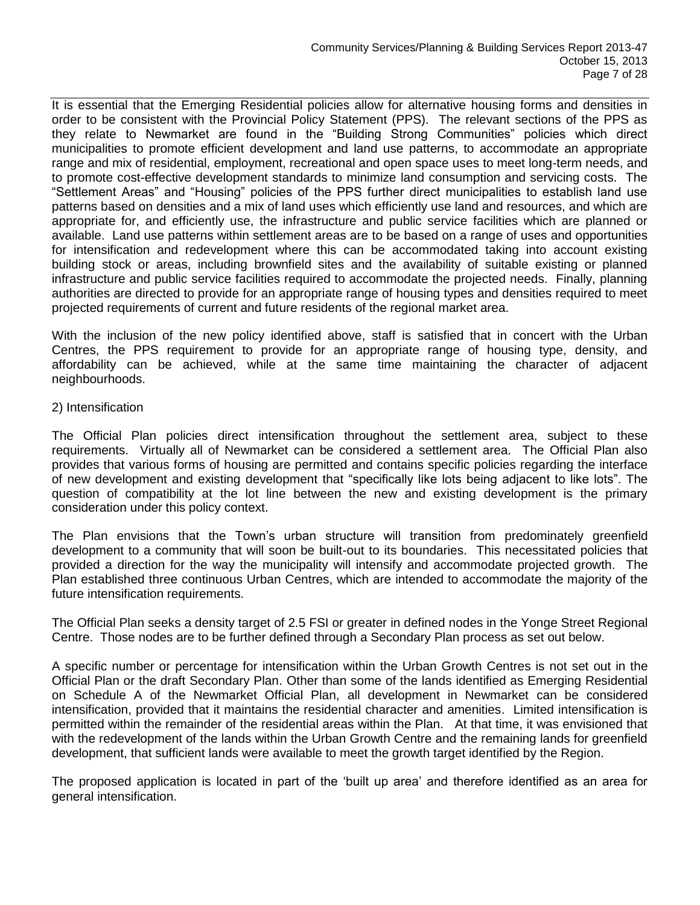It is essential that the Emerging Residential policies allow for alternative housing forms and densities in order to be consistent with the Provincial Policy Statement (PPS). The relevant sections of the PPS as they relate to Newmarket are found in the "Building Strong Communities" policies which direct municipalities to promote efficient development and land use patterns, to accommodate an appropriate range and mix of residential, employment, recreational and open space uses to meet long-term needs, and to promote cost-effective development standards to minimize land consumption and servicing costs. The "Settlement Areas" and "Housing" policies of the PPS further direct municipalities to establish land use patterns based on densities and a mix of land uses which efficiently use land and resources, and which are appropriate for, and efficiently use, the infrastructure and public service facilities which are planned or available. Land use patterns within settlement areas are to be based on a range of uses and opportunities for intensification and redevelopment where this can be accommodated taking into account existing building stock or areas, including brownfield sites and the availability of suitable existing or planned infrastructure and public service facilities required to accommodate the projected needs. Finally, planning authorities are directed to provide for an appropriate range of housing types and densities required to meet projected requirements of current and future residents of the regional market area.

With the inclusion of the new policy identified above, staff is satisfied that in concert with the Urban Centres, the PPS requirement to provide for an appropriate range of housing type, density, and affordability can be achieved, while at the same time maintaining the character of adjacent neighbourhoods.

# 2) Intensification

The Official Plan policies direct intensification throughout the settlement area, subject to these requirements. Virtually all of Newmarket can be considered a settlement area. The Official Plan also provides that various forms of housing are permitted and contains specific policies regarding the interface of new development and existing development that "specifically like lots being adjacent to like lots". The question of compatibility at the lot line between the new and existing development is the primary consideration under this policy context.

The Plan envisions that the Town's urban structure will transition from predominately greenfield development to a community that will soon be built-out to its boundaries. This necessitated policies that provided a direction for the way the municipality will intensify and accommodate projected growth. The Plan established three continuous Urban Centres, which are intended to accommodate the majority of the future intensification requirements.

The Official Plan seeks a density target of 2.5 FSI or greater in defined nodes in the Yonge Street Regional Centre. Those nodes are to be further defined through a Secondary Plan process as set out below.

A specific number or percentage for intensification within the Urban Growth Centres is not set out in the Official Plan or the draft Secondary Plan. Other than some of the lands identified as Emerging Residential on Schedule A of the Newmarket Official Plan, all development in Newmarket can be considered intensification, provided that it maintains the residential character and amenities. Limited intensification is permitted within the remainder of the residential areas within the Plan. At that time, it was envisioned that with the redevelopment of the lands within the Urban Growth Centre and the remaining lands for greenfield development, that sufficient lands were available to meet the growth target identified by the Region.

The proposed application is located in part of the 'built up area' and therefore identified as an area for general intensification.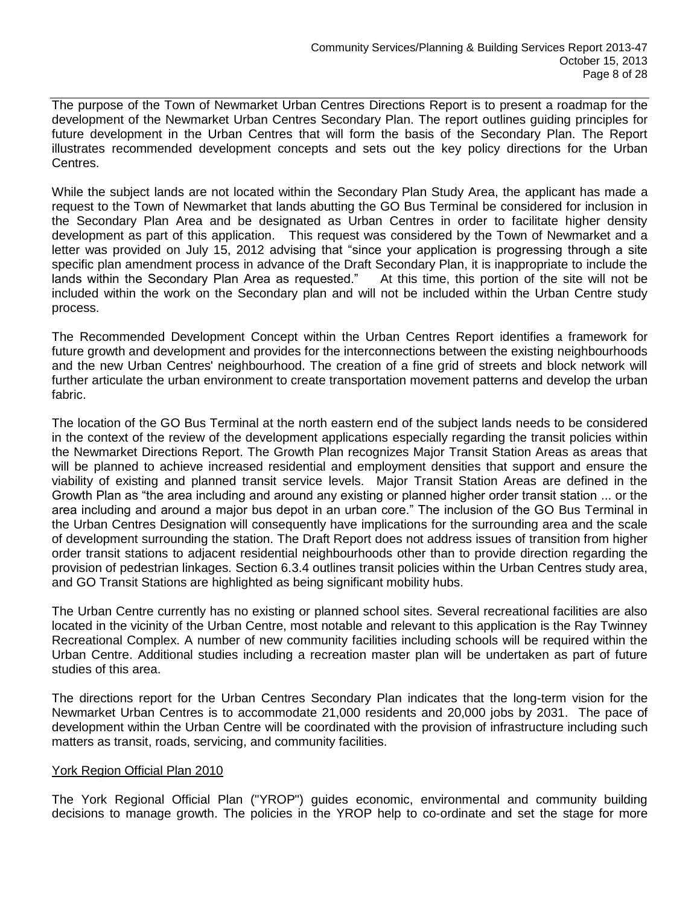The purpose of the Town of Newmarket Urban Centres Directions Report is to present a roadmap for the development of the Newmarket Urban Centres Secondary Plan. The report outlines guiding principles for future development in the Urban Centres that will form the basis of the Secondary Plan. The Report illustrates recommended development concepts and sets out the key policy directions for the Urban Centres.

While the subject lands are not located within the Secondary Plan Study Area, the applicant has made a request to the Town of Newmarket that lands abutting the GO Bus Terminal be considered for inclusion in the Secondary Plan Area and be designated as Urban Centres in order to facilitate higher density development as part of this application. This request was considered by the Town of Newmarket and a letter was provided on July 15, 2012 advising that "since your application is progressing through a site specific plan amendment process in advance of the Draft Secondary Plan, it is inappropriate to include the lands within the Secondary Plan Area as requested." At this time, this portion of the site will not be included within the work on the Secondary plan and will not be included within the Urban Centre study process.

The Recommended Development Concept within the Urban Centres Report identifies a framework for future growth and development and provides for the interconnections between the existing neighbourhoods and the new Urban Centres' neighbourhood. The creation of a fine grid of streets and block network will further articulate the urban environment to create transportation movement patterns and develop the urban fabric.

The location of the GO Bus Terminal at the north eastern end of the subject lands needs to be considered in the context of the review of the development applications especially regarding the transit policies within the Newmarket Directions Report. The Growth Plan recognizes Major Transit Station Areas as areas that will be planned to achieve increased residential and employment densities that support and ensure the viability of existing and planned transit service levels. Major Transit Station Areas are defined in the Growth Plan as "the area including and around any existing or planned higher order transit station ... or the area including and around a major bus depot in an urban core." The inclusion of the GO Bus Terminal in the Urban Centres Designation will consequently have implications for the surrounding area and the scale of development surrounding the station. The Draft Report does not address issues of transition from higher order transit stations to adjacent residential neighbourhoods other than to provide direction regarding the provision of pedestrian linkages. Section 6.3.4 outlines transit policies within the Urban Centres study area, and GO Transit Stations are highlighted as being significant mobility hubs.

The Urban Centre currently has no existing or planned school sites. Several recreational facilities are also located in the vicinity of the Urban Centre, most notable and relevant to this application is the Ray Twinney Recreational Complex. A number of new community facilities including schools will be required within the Urban Centre. Additional studies including a recreation master plan will be undertaken as part of future studies of this area.

The directions report for the Urban Centres Secondary Plan indicates that the long-term vision for the Newmarket Urban Centres is to accommodate 21,000 residents and 20,000 jobs by 2031. The pace of development within the Urban Centre will be coordinated with the provision of infrastructure including such matters as transit, roads, servicing, and community facilities.

#### York Region Official Plan 2010

The York Regional Official Plan ("YROP") guides economic, environmental and community building decisions to manage growth. The policies in the YROP help to co-ordinate and set the stage for more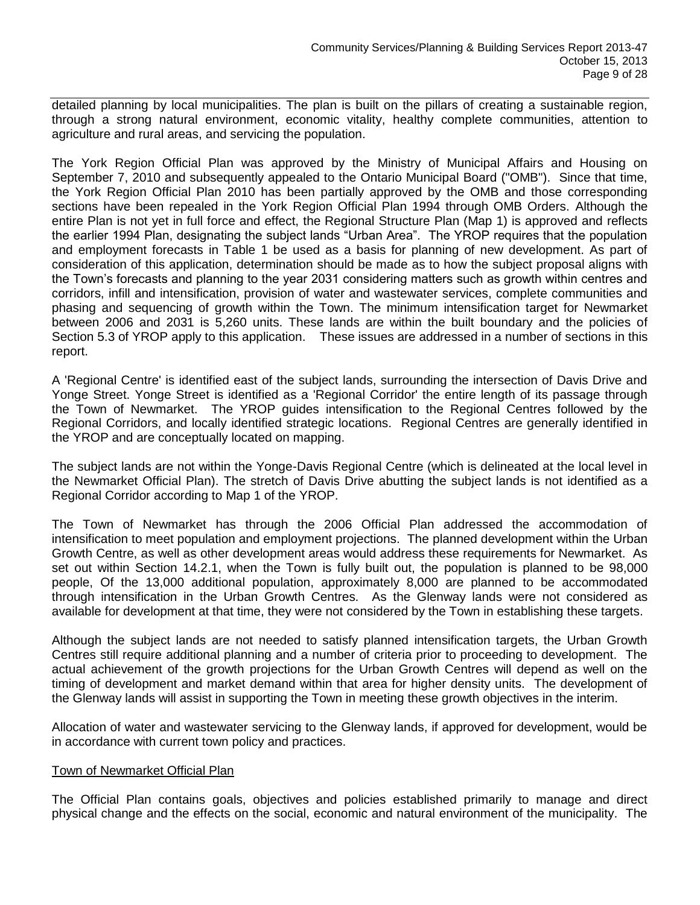detailed planning by local municipalities. The plan is built on the pillars of creating a sustainable region, through a strong natural environment, economic vitality, healthy complete communities, attention to agriculture and rural areas, and servicing the population.

The York Region Official Plan was approved by the Ministry of Municipal Affairs and Housing on September 7, 2010 and subsequently appealed to the Ontario Municipal Board ("OMB"). Since that time, the York Region Official Plan 2010 has been partially approved by the OMB and those corresponding sections have been repealed in the York Region Official Plan 1994 through OMB Orders. Although the entire Plan is not yet in full force and effect, the Regional Structure Plan (Map 1) is approved and reflects the earlier 1994 Plan, designating the subject lands "Urban Area". The YROP requires that the population and employment forecasts in Table 1 be used as a basis for planning of new development. As part of consideration of this application, determination should be made as to how the subject proposal aligns with the Town's forecasts and planning to the year 2031 considering matters such as growth within centres and corridors, infill and intensification, provision of water and wastewater services, complete communities and phasing and sequencing of growth within the Town. The minimum intensification target for Newmarket between 2006 and 2031 is 5,260 units. These lands are within the built boundary and the policies of Section 5.3 of YROP apply to this application. These issues are addressed in a number of sections in this report.

A 'Regional Centre' is identified east of the subject lands, surrounding the intersection of Davis Drive and Yonge Street. Yonge Street is identified as a 'Regional Corridor' the entire length of its passage through the Town of Newmarket. The YROP guides intensification to the Regional Centres followed by the Regional Corridors, and locally identified strategic locations. Regional Centres are generally identified in the YROP and are conceptually located on mapping.

The subject lands are not within the Yonge-Davis Regional Centre (which is delineated at the local level in the Newmarket Official Plan). The stretch of Davis Drive abutting the subject lands is not identified as a Regional Corridor according to Map 1 of the YROP.

The Town of Newmarket has through the 2006 Official Plan addressed the accommodation of intensification to meet population and employment projections. The planned development within the Urban Growth Centre, as well as other development areas would address these requirements for Newmarket. As set out within Section 14.2.1, when the Town is fully built out, the population is planned to be 98,000 people, Of the 13,000 additional population, approximately 8,000 are planned to be accommodated through intensification in the Urban Growth Centres. As the Glenway lands were not considered as available for development at that time, they were not considered by the Town in establishing these targets.

Although the subject lands are not needed to satisfy planned intensification targets, the Urban Growth Centres still require additional planning and a number of criteria prior to proceeding to development. The actual achievement of the growth projections for the Urban Growth Centres will depend as well on the timing of development and market demand within that area for higher density units. The development of the Glenway lands will assist in supporting the Town in meeting these growth objectives in the interim.

Allocation of water and wastewater servicing to the Glenway lands, if approved for development, would be in accordance with current town policy and practices.

#### Town of Newmarket Official Plan

The Official Plan contains goals, objectives and policies established primarily to manage and direct physical change and the effects on the social, economic and natural environment of the municipality. The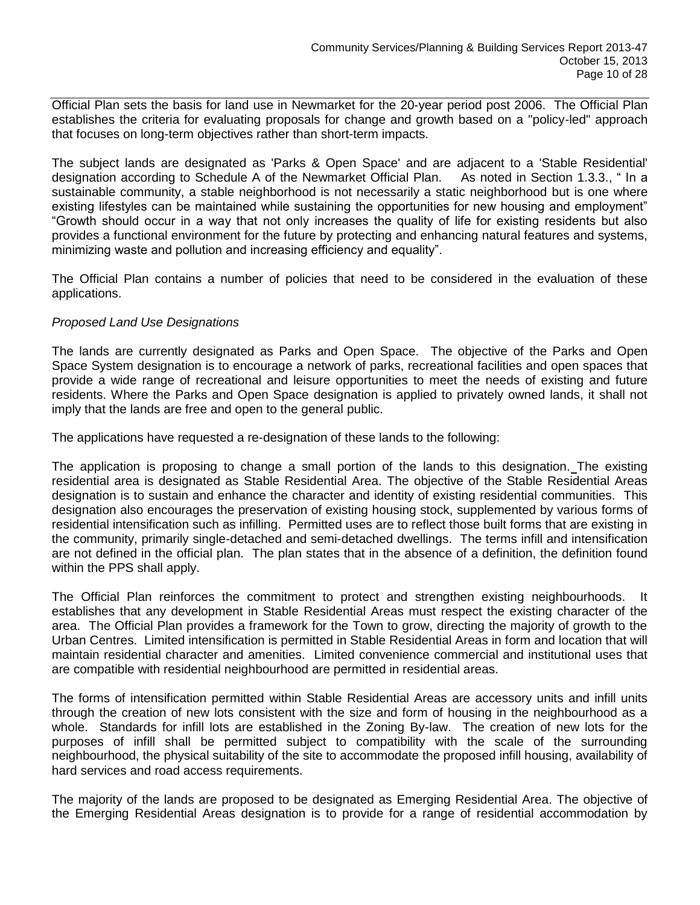Official Plan sets the basis for land use in Newmarket for the 20-year period post 2006. The Official Plan establishes the criteria for evaluating proposals for change and growth based on a "policy-led" approach that focuses on long-term objectives rather than short-term impacts.

The subject lands are designated as 'Parks & Open Space' and are adjacent to a 'Stable Residential'<br>designation according to Schedule A of the Newmarket Official Plan. As noted in Section 1.3.3., " In a designation according to Schedule A of the Newmarket Official Plan. sustainable community, a stable neighborhood is not necessarily a static neighborhood but is one where existing lifestyles can be maintained while sustaining the opportunities for new housing and employment" "Growth should occur in a way that not only increases the quality of life for existing residents but also provides a functional environment for the future by protecting and enhancing natural features and systems, minimizing waste and pollution and increasing efficiency and equality".

The Official Plan contains a number of policies that need to be considered in the evaluation of these applications.

# *Proposed Land Use Designations*

The lands are currently designated as Parks and Open Space. The objective of the Parks and Open Space System designation is to encourage a network of parks, recreational facilities and open spaces that provide a wide range of recreational and leisure opportunities to meet the needs of existing and future residents. Where the Parks and Open Space designation is applied to privately owned lands, it shall not imply that the lands are free and open to the general public.

The applications have requested a re-designation of these lands to the following:

The application is proposing to change a small portion of the lands to this designation. The existing residential area is designated as Stable Residential Area. The objective of the Stable Residential Areas designation is to sustain and enhance the character and identity of existing residential communities. This designation also encourages the preservation of existing housing stock, supplemented by various forms of residential intensification such as infilling. Permitted uses are to reflect those built forms that are existing in the community, primarily single-detached and semi-detached dwellings. The terms infill and intensification are not defined in the official plan. The plan states that in the absence of a definition, the definition found within the PPS shall apply.

The Official Plan reinforces the commitment to protect and strengthen existing neighbourhoods. It establishes that any development in Stable Residential Areas must respect the existing character of the area. The Official Plan provides a framework for the Town to grow, directing the majority of growth to the Urban Centres. Limited intensification is permitted in Stable Residential Areas in form and location that will maintain residential character and amenities. Limited convenience commercial and institutional uses that are compatible with residential neighbourhood are permitted in residential areas.

The forms of intensification permitted within Stable Residential Areas are accessory units and infill units through the creation of new lots consistent with the size and form of housing in the neighbourhood as a whole. Standards for infill lots are established in the Zoning By-law. The creation of new lots for the purposes of infill shall be permitted subject to compatibility with the scale of the surrounding neighbourhood, the physical suitability of the site to accommodate the proposed infill housing, availability of hard services and road access requirements.

The majority of the lands are proposed to be designated as Emerging Residential Area. The objective of the Emerging Residential Areas designation is to provide for a range of residential accommodation by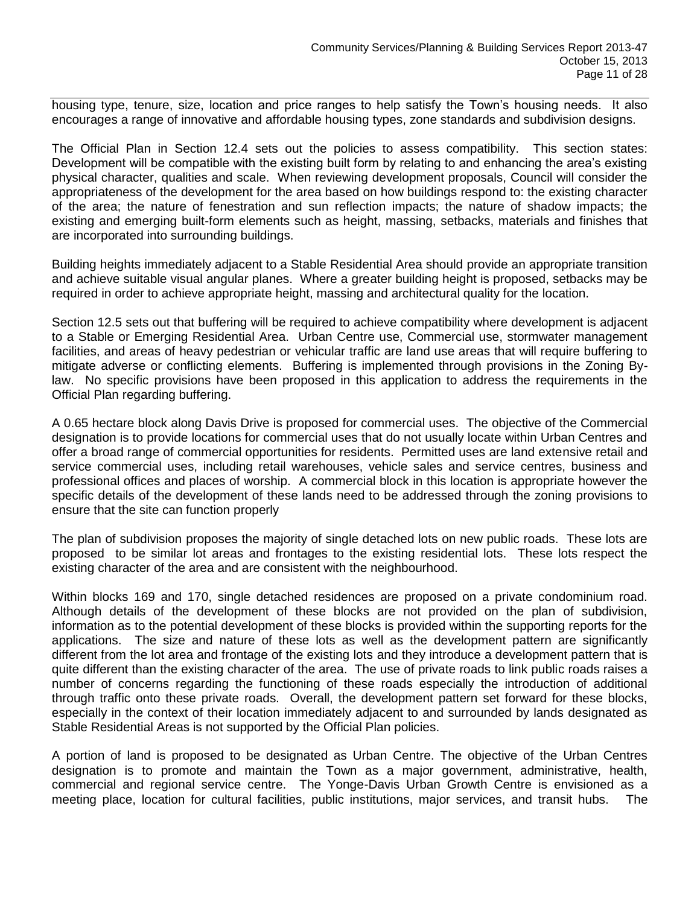housing type, tenure, size, location and price ranges to help satisfy the Town's housing needs. It also encourages a range of innovative and affordable housing types, zone standards and subdivision designs.

The Official Plan in Section 12.4 sets out the policies to assess compatibility. This section states: Development will be compatible with the existing built form by relating to and enhancing the area's existing physical character, qualities and scale. When reviewing development proposals, Council will consider the appropriateness of the development for the area based on how buildings respond to: the existing character of the area; the nature of fenestration and sun reflection impacts; the nature of shadow impacts; the existing and emerging built-form elements such as height, massing, setbacks, materials and finishes that are incorporated into surrounding buildings.

Building heights immediately adjacent to a Stable Residential Area should provide an appropriate transition and achieve suitable visual angular planes. Where a greater building height is proposed, setbacks may be required in order to achieve appropriate height, massing and architectural quality for the location.

Section 12.5 sets out that buffering will be required to achieve compatibility where development is adjacent to a Stable or Emerging Residential Area. Urban Centre use, Commercial use, stormwater management facilities, and areas of heavy pedestrian or vehicular traffic are land use areas that will require buffering to mitigate adverse or conflicting elements. Buffering is implemented through provisions in the Zoning Bylaw. No specific provisions have been proposed in this application to address the requirements in the Official Plan regarding buffering.

A 0.65 hectare block along Davis Drive is proposed for commercial uses. The objective of the Commercial designation is to provide locations for commercial uses that do not usually locate within Urban Centres and offer a broad range of commercial opportunities for residents. Permitted uses are land extensive retail and service commercial uses, including retail warehouses, vehicle sales and service centres, business and professional offices and places of worship. A commercial block in this location is appropriate however the specific details of the development of these lands need to be addressed through the zoning provisions to ensure that the site can function properly

The plan of subdivision proposes the majority of single detached lots on new public roads. These lots are proposed to be similar lot areas and frontages to the existing residential lots. These lots respect the existing character of the area and are consistent with the neighbourhood.

Within blocks 169 and 170, single detached residences are proposed on a private condominium road. Although details of the development of these blocks are not provided on the plan of subdivision, information as to the potential development of these blocks is provided within the supporting reports for the applications. The size and nature of these lots as well as the development pattern are significantly different from the lot area and frontage of the existing lots and they introduce a development pattern that is quite different than the existing character of the area. The use of private roads to link public roads raises a number of concerns regarding the functioning of these roads especially the introduction of additional through traffic onto these private roads. Overall, the development pattern set forward for these blocks, especially in the context of their location immediately adjacent to and surrounded by lands designated as Stable Residential Areas is not supported by the Official Plan policies.

A portion of land is proposed to be designated as Urban Centre. The objective of the Urban Centres designation is to promote and maintain the Town as a major government, administrative, health, commercial and regional service centre. The Yonge-Davis Urban Growth Centre is envisioned as a meeting place, location for cultural facilities, public institutions, major services, and transit hubs. The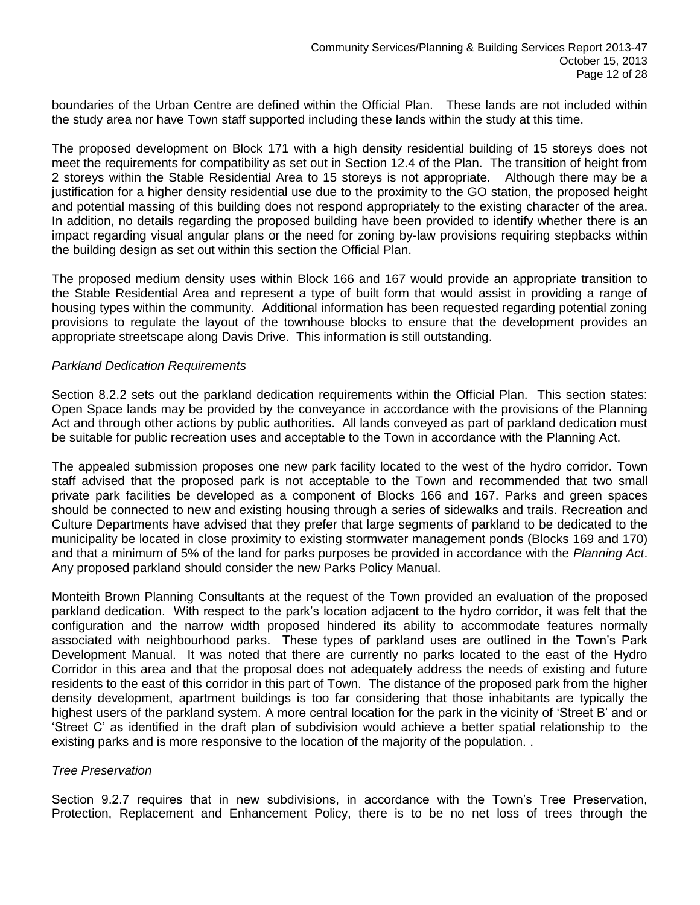boundaries of the Urban Centre are defined within the Official Plan. These lands are not included within the study area nor have Town staff supported including these lands within the study at this time.

The proposed development on Block 171 with a high density residential building of 15 storeys does not meet the requirements for compatibility as set out in Section 12.4 of the Plan. The transition of height from 2 storeys within the Stable Residential Area to 15 storeys is not appropriate. Although there may be a justification for a higher density residential use due to the proximity to the GO station, the proposed height and potential massing of this building does not respond appropriately to the existing character of the area. In addition, no details regarding the proposed building have been provided to identify whether there is an impact regarding visual angular plans or the need for zoning by-law provisions requiring stepbacks within the building design as set out within this section the Official Plan.

The proposed medium density uses within Block 166 and 167 would provide an appropriate transition to the Stable Residential Area and represent a type of built form that would assist in providing a range of housing types within the community. Additional information has been requested regarding potential zoning provisions to regulate the layout of the townhouse blocks to ensure that the development provides an appropriate streetscape along Davis Drive. This information is still outstanding.

#### *Parkland Dedication Requirements*

Section 8.2.2 sets out the parkland dedication requirements within the Official Plan. This section states: Open Space lands may be provided by the conveyance in accordance with the provisions of the Planning Act and through other actions by public authorities. All lands conveyed as part of parkland dedication must be suitable for public recreation uses and acceptable to the Town in accordance with the Planning Act.

The appealed submission proposes one new park facility located to the west of the hydro corridor. Town staff advised that the proposed park is not acceptable to the Town and recommended that two small private park facilities be developed as a component of Blocks 166 and 167. Parks and green spaces should be connected to new and existing housing through a series of sidewalks and trails. Recreation and Culture Departments have advised that they prefer that large segments of parkland to be dedicated to the municipality be located in close proximity to existing stormwater management ponds (Blocks 169 and 170) and that a minimum of 5% of the land for parks purposes be provided in accordance with the *Planning Act*. Any proposed parkland should consider the new Parks Policy Manual.

Monteith Brown Planning Consultants at the request of the Town provided an evaluation of the proposed parkland dedication. With respect to the park's location adjacent to the hydro corridor, it was felt that the configuration and the narrow width proposed hindered its ability to accommodate features normally associated with neighbourhood parks. These types of parkland uses are outlined in the Town's Park Development Manual. It was noted that there are currently no parks located to the east of the Hydro Corridor in this area and that the proposal does not adequately address the needs of existing and future residents to the east of this corridor in this part of Town. The distance of the proposed park from the higher density development, apartment buildings is too far considering that those inhabitants are typically the highest users of the parkland system. A more central location for the park in the vicinity of 'Street B' and or 'Street C' as identified in the draft plan of subdivision would achieve a better spatial relationship to the existing parks and is more responsive to the location of the majority of the population. .

#### *Tree Preservation*

Section 9.2.7 requires that in new subdivisions, in accordance with the Town's Tree Preservation, Protection, Replacement and Enhancement Policy, there is to be no net loss of trees through the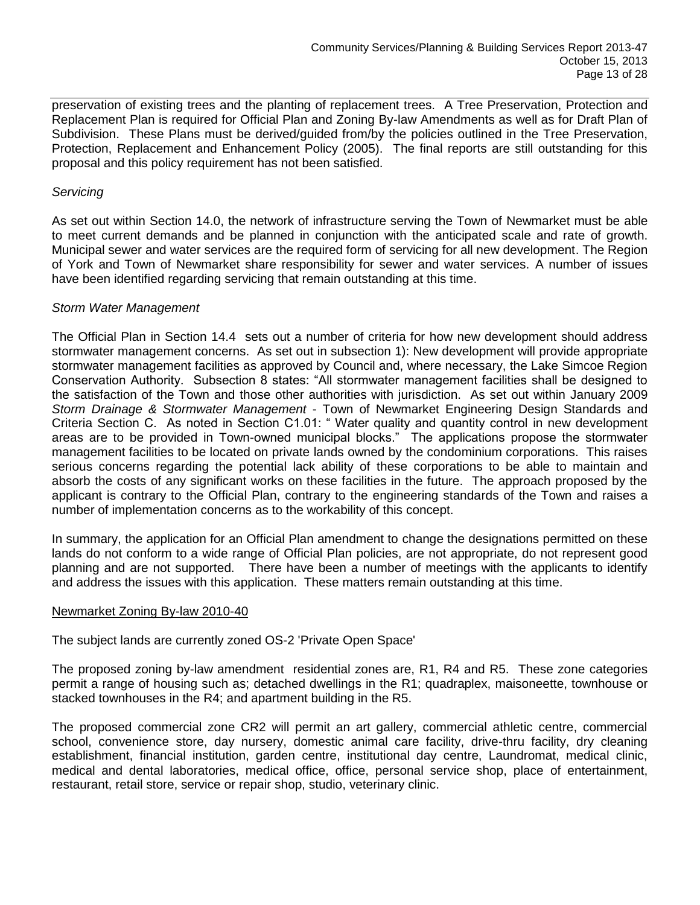preservation of existing trees and the planting of replacement trees. A Tree Preservation, Protection and Replacement Plan is required for Official Plan and Zoning By-law Amendments as well as for Draft Plan of Subdivision. These Plans must be derived/guided from/by the policies outlined in the Tree Preservation, Protection, Replacement and Enhancement Policy (2005). The final reports are still outstanding for this proposal and this policy requirement has not been satisfied.

# *Servicing*

As set out within Section 14.0, the network of infrastructure serving the Town of Newmarket must be able to meet current demands and be planned in conjunction with the anticipated scale and rate of growth. Municipal sewer and water services are the required form of servicing for all new development. The Region of York and Town of Newmarket share responsibility for sewer and water services. A number of issues have been identified regarding servicing that remain outstanding at this time.

# *Storm Water Management*

The Official Plan in Section 14.4 sets out a number of criteria for how new development should address stormwater management concerns. As set out in subsection 1): New development will provide appropriate stormwater management facilities as approved by Council and, where necessary, the Lake Simcoe Region Conservation Authority. Subsection 8 states: "All stormwater management facilities shall be designed to the satisfaction of the Town and those other authorities with jurisdiction. As set out within January 2009 *Storm Drainage & Stormwater Management* - Town of Newmarket Engineering Design Standards and Criteria Section C. As noted in Section C1.01: " Water quality and quantity control in new development areas are to be provided in Town-owned municipal blocks." The applications propose the stormwater management facilities to be located on private lands owned by the condominium corporations. This raises serious concerns regarding the potential lack ability of these corporations to be able to maintain and absorb the costs of any significant works on these facilities in the future. The approach proposed by the applicant is contrary to the Official Plan, contrary to the engineering standards of the Town and raises a number of implementation concerns as to the workability of this concept.

In summary, the application for an Official Plan amendment to change the designations permitted on these lands do not conform to a wide range of Official Plan policies, are not appropriate, do not represent good planning and are not supported. There have been a number of meetings with the applicants to identify and address the issues with this application. These matters remain outstanding at this time.

#### Newmarket Zoning By-law 2010-40

The subject lands are currently zoned OS-2 'Private Open Space'

The proposed zoning by-law amendment residential zones are, R1, R4 and R5. These zone categories permit a range of housing such as; detached dwellings in the R1; quadraplex, maisoneette, townhouse or stacked townhouses in the R4; and apartment building in the R5.

The proposed commercial zone CR2 will permit an art gallery, commercial athletic centre, commercial school, convenience store, day nursery, domestic animal care facility, drive-thru facility, dry cleaning establishment, financial institution, garden centre, institutional day centre, Laundromat, medical clinic, medical and dental laboratories, medical office, office, personal service shop, place of entertainment, restaurant, retail store, service or repair shop, studio, veterinary clinic.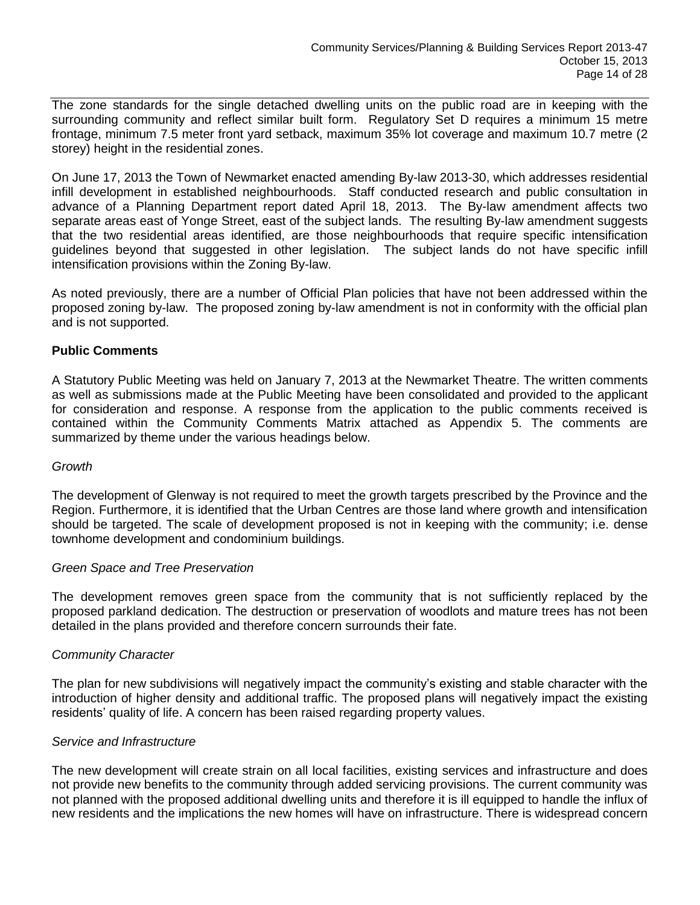The zone standards for the single detached dwelling units on the public road are in keeping with the surrounding community and reflect similar built form. Regulatory Set D requires a minimum 15 metre frontage, minimum 7.5 meter front yard setback, maximum 35% lot coverage and maximum 10.7 metre (2 storey) height in the residential zones.

On June 17, 2013 the Town of Newmarket enacted amending By-law 2013-30, which addresses residential infill development in established neighbourhoods. Staff conducted research and public consultation in advance of a Planning Department report dated April 18, 2013. The By-law amendment affects two separate areas east of Yonge Street, east of the subject lands. The resulting By-law amendment suggests that the two residential areas identified, are those neighbourhoods that require specific intensification guidelines beyond that suggested in other legislation. The subject lands do not have specific infill intensification provisions within the Zoning By-law.

As noted previously, there are a number of Official Plan policies that have not been addressed within the proposed zoning by-law. The proposed zoning by-law amendment is not in conformity with the official plan and is not supported.

# **Public Comments**

A Statutory Public Meeting was held on January 7, 2013 at the Newmarket Theatre. The written comments as well as submissions made at the Public Meeting have been consolidated and provided to the applicant for consideration and response. A response from the application to the public comments received is contained within the Community Comments Matrix attached as Appendix 5. The comments are summarized by theme under the various headings below.

#### *Growth*

The development of Glenway is not required to meet the growth targets prescribed by the Province and the Region. Furthermore, it is identified that the Urban Centres are those land where growth and intensification should be targeted. The scale of development proposed is not in keeping with the community; i.e. dense townhome development and condominium buildings.

#### *Green Space and Tree Preservation*

The development removes green space from the community that is not sufficiently replaced by the proposed parkland dedication. The destruction or preservation of woodlots and mature trees has not been detailed in the plans provided and therefore concern surrounds their fate.

#### *Community Character*

The plan for new subdivisions will negatively impact the community's existing and stable character with the introduction of higher density and additional traffic. The proposed plans will negatively impact the existing residents' quality of life. A concern has been raised regarding property values.

#### *Service and Infrastructure*

The new development will create strain on all local facilities, existing services and infrastructure and does not provide new benefits to the community through added servicing provisions. The current community was not planned with the proposed additional dwelling units and therefore it is ill equipped to handle the influx of new residents and the implications the new homes will have on infrastructure. There is widespread concern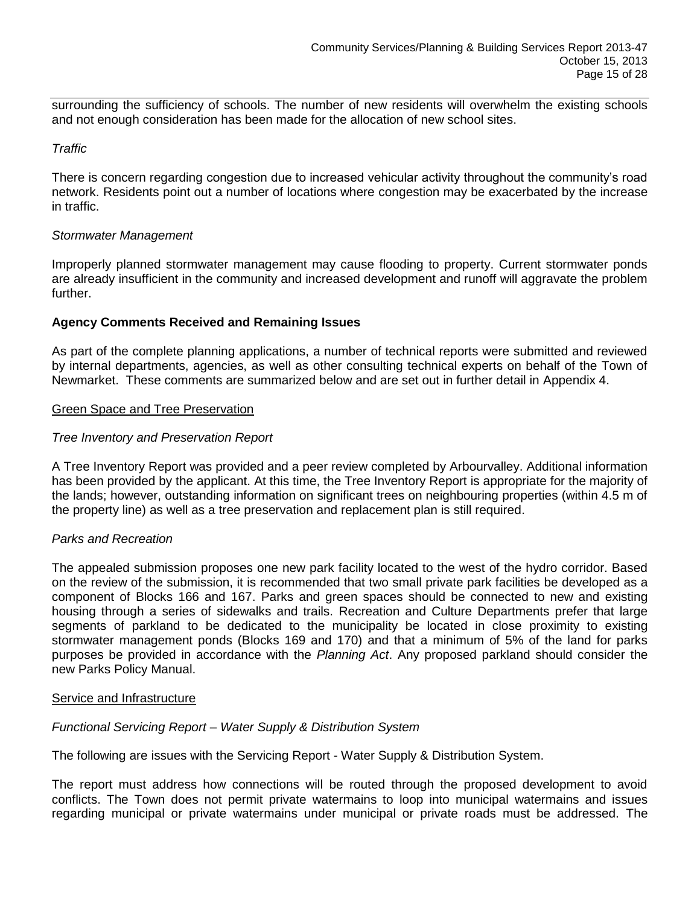surrounding the sufficiency of schools. The number of new residents will overwhelm the existing schools and not enough consideration has been made for the allocation of new school sites.

# *Traffic*

There is concern regarding congestion due to increased vehicular activity throughout the community's road network. Residents point out a number of locations where congestion may be exacerbated by the increase in traffic.

# *Stormwater Management*

Improperly planned stormwater management may cause flooding to property. Current stormwater ponds are already insufficient in the community and increased development and runoff will aggravate the problem further.

# **Agency Comments Received and Remaining Issues**

As part of the complete planning applications, a number of technical reports were submitted and reviewed by internal departments, agencies, as well as other consulting technical experts on behalf of the Town of Newmarket. These comments are summarized below and are set out in further detail in Appendix 4.

#### Green Space and Tree Preservation

# *Tree Inventory and Preservation Report*

A Tree Inventory Report was provided and a peer review completed by Arbourvalley. Additional information has been provided by the applicant. At this time, the Tree Inventory Report is appropriate for the majority of the lands; however, outstanding information on significant trees on neighbouring properties (within 4.5 m of the property line) as well as a tree preservation and replacement plan is still required.

#### *Parks and Recreation*

The appealed submission proposes one new park facility located to the west of the hydro corridor. Based on the review of the submission, it is recommended that two small private park facilities be developed as a component of Blocks 166 and 167. Parks and green spaces should be connected to new and existing housing through a series of sidewalks and trails. Recreation and Culture Departments prefer that large segments of parkland to be dedicated to the municipality be located in close proximity to existing stormwater management ponds (Blocks 169 and 170) and that a minimum of 5% of the land for parks purposes be provided in accordance with the *Planning Act*. Any proposed parkland should consider the new Parks Policy Manual.

#### Service and Infrastructure

#### *Functional Servicing Report – Water Supply & Distribution System*

The following are issues with the Servicing Report - Water Supply & Distribution System.

The report must address how connections will be routed through the proposed development to avoid conflicts. The Town does not permit private watermains to loop into municipal watermains and issues regarding municipal or private watermains under municipal or private roads must be addressed. The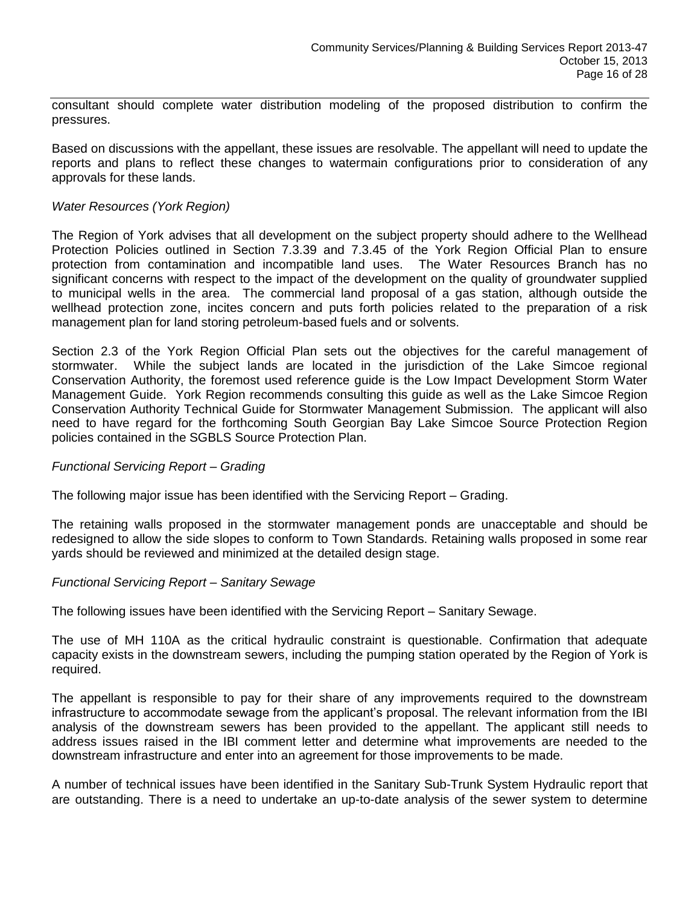consultant should complete water distribution modeling of the proposed distribution to confirm the pressures.

Based on discussions with the appellant, these issues are resolvable. The appellant will need to update the reports and plans to reflect these changes to watermain configurations prior to consideration of any approvals for these lands.

# *Water Resources (York Region)*

The Region of York advises that all development on the subject property should adhere to the Wellhead Protection Policies outlined in Section 7.3.39 and 7.3.45 of the York Region Official Plan to ensure protection from contamination and incompatible land uses. The Water Resources Branch has no significant concerns with respect to the impact of the development on the quality of groundwater supplied to municipal wells in the area. The commercial land proposal of a gas station, although outside the wellhead protection zone, incites concern and puts forth policies related to the preparation of a risk management plan for land storing petroleum-based fuels and or solvents.

Section 2.3 of the York Region Official Plan sets out the objectives for the careful management of stormwater. While the subject lands are located in the jurisdiction of the Lake Simcoe regional Conservation Authority, the foremost used reference guide is the Low Impact Development Storm Water Management Guide. York Region recommends consulting this guide as well as the Lake Simcoe Region Conservation Authority Technical Guide for Stormwater Management Submission. The applicant will also need to have regard for the forthcoming South Georgian Bay Lake Simcoe Source Protection Region policies contained in the SGBLS Source Protection Plan.

#### *Functional Servicing Report – Grading*

The following major issue has been identified with the Servicing Report – Grading.

The retaining walls proposed in the stormwater management ponds are unacceptable and should be redesigned to allow the side slopes to conform to Town Standards. Retaining walls proposed in some rear yards should be reviewed and minimized at the detailed design stage.

#### *Functional Servicing Report – Sanitary Sewage*

The following issues have been identified with the Servicing Report – Sanitary Sewage.

The use of MH 110A as the critical hydraulic constraint is questionable. Confirmation that adequate capacity exists in the downstream sewers, including the pumping station operated by the Region of York is required.

The appellant is responsible to pay for their share of any improvements required to the downstream infrastructure to accommodate sewage from the applicant's proposal. The relevant information from the IBI analysis of the downstream sewers has been provided to the appellant. The applicant still needs to address issues raised in the IBI comment letter and determine what improvements are needed to the downstream infrastructure and enter into an agreement for those improvements to be made.

A number of technical issues have been identified in the Sanitary Sub-Trunk System Hydraulic report that are outstanding. There is a need to undertake an up-to-date analysis of the sewer system to determine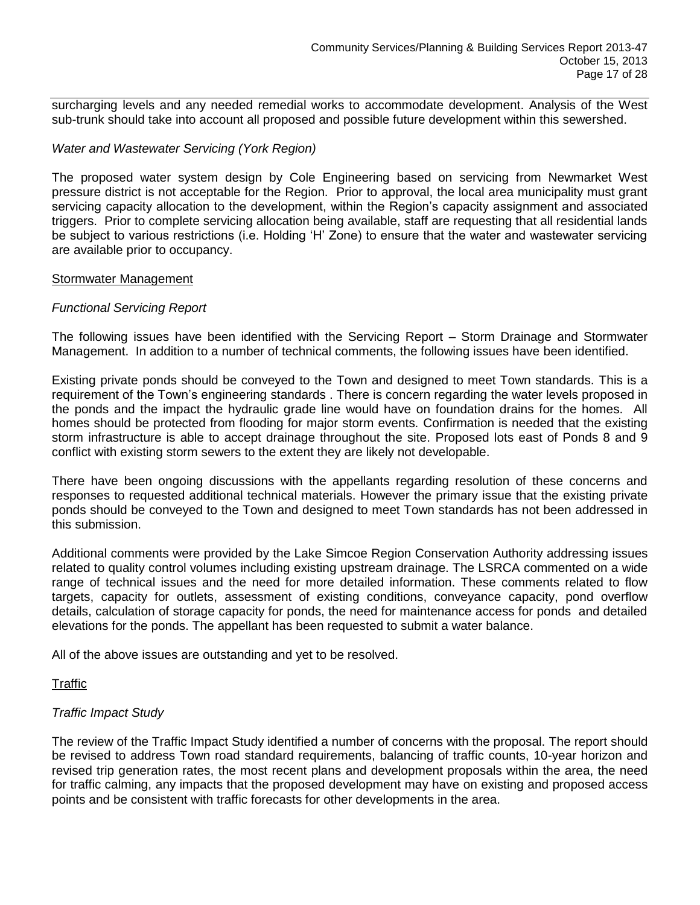surcharging levels and any needed remedial works to accommodate development. Analysis of the West sub-trunk should take into account all proposed and possible future development within this sewershed.

# *Water and Wastewater Servicing (York Region)*

The proposed water system design by Cole Engineering based on servicing from Newmarket West pressure district is not acceptable for the Region. Prior to approval, the local area municipality must grant servicing capacity allocation to the development, within the Region's capacity assignment and associated triggers. Prior to complete servicing allocation being available, staff are requesting that all residential lands be subject to various restrictions (i.e. Holding 'H' Zone) to ensure that the water and wastewater servicing are available prior to occupancy.

#### Stormwater Management

# *Functional Servicing Report*

The following issues have been identified with the Servicing Report – Storm Drainage and Stormwater Management. In addition to a number of technical comments, the following issues have been identified.

Existing private ponds should be conveyed to the Town and designed to meet Town standards. This is a requirement of the Town's engineering standards . There is concern regarding the water levels proposed in the ponds and the impact the hydraulic grade line would have on foundation drains for the homes. All homes should be protected from flooding for major storm events. Confirmation is needed that the existing storm infrastructure is able to accept drainage throughout the site. Proposed lots east of Ponds 8 and 9 conflict with existing storm sewers to the extent they are likely not developable.

There have been ongoing discussions with the appellants regarding resolution of these concerns and responses to requested additional technical materials. However the primary issue that the existing private ponds should be conveyed to the Town and designed to meet Town standards has not been addressed in this submission.

Additional comments were provided by the Lake Simcoe Region Conservation Authority addressing issues related to quality control volumes including existing upstream drainage. The LSRCA commented on a wide range of technical issues and the need for more detailed information. These comments related to flow targets, capacity for outlets, assessment of existing conditions, conveyance capacity, pond overflow details, calculation of storage capacity for ponds, the need for maintenance access for ponds and detailed elevations for the ponds. The appellant has been requested to submit a water balance.

All of the above issues are outstanding and yet to be resolved.

# Traffic

# *Traffic Impact Study*

The review of the Traffic Impact Study identified a number of concerns with the proposal. The report should be revised to address Town road standard requirements, balancing of traffic counts, 10-year horizon and revised trip generation rates, the most recent plans and development proposals within the area, the need for traffic calming, any impacts that the proposed development may have on existing and proposed access points and be consistent with traffic forecasts for other developments in the area.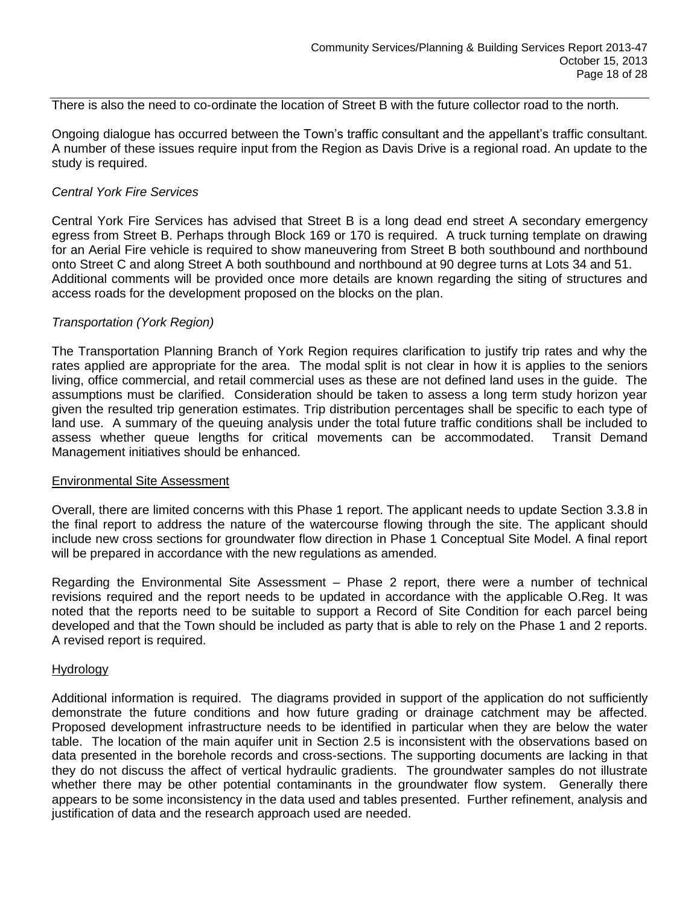There is also the need to co-ordinate the location of Street B with the future collector road to the north.

Ongoing dialogue has occurred between the Town's traffic consultant and the appellant's traffic consultant. A number of these issues require input from the Region as Davis Drive is a regional road. An update to the study is required.

#### *Central York Fire Services*

Central York Fire Services has advised that Street B is a long dead end street A secondary emergency egress from Street B. Perhaps through Block 169 or 170 is required. A truck turning template on drawing for an Aerial Fire vehicle is required to show maneuvering from Street B both southbound and northbound onto Street C and along Street A both southbound and northbound at 90 degree turns at Lots 34 and 51. Additional comments will be provided once more details are known regarding the siting of structures and access roads for the development proposed on the blocks on the plan.

#### *Transportation (York Region)*

The Transportation Planning Branch of York Region requires clarification to justify trip rates and why the rates applied are appropriate for the area. The modal split is not clear in how it is applies to the seniors living, office commercial, and retail commercial uses as these are not defined land uses in the guide. The assumptions must be clarified. Consideration should be taken to assess a long term study horizon year given the resulted trip generation estimates. Trip distribution percentages shall be specific to each type of land use. A summary of the queuing analysis under the total future traffic conditions shall be included to assess whether queue lengths for critical movements can be accommodated. Transit Demand Management initiatives should be enhanced.

#### Environmental Site Assessment

Overall, there are limited concerns with this Phase 1 report. The applicant needs to update Section 3.3.8 in the final report to address the nature of the watercourse flowing through the site. The applicant should include new cross sections for groundwater flow direction in Phase 1 Conceptual Site Model. A final report will be prepared in accordance with the new regulations as amended.

Regarding the Environmental Site Assessment – Phase 2 report, there were a number of technical revisions required and the report needs to be updated in accordance with the applicable O.Reg. It was noted that the reports need to be suitable to support a Record of Site Condition for each parcel being developed and that the Town should be included as party that is able to rely on the Phase 1 and 2 reports. A revised report is required.

#### Hydrology

Additional information is required. The diagrams provided in support of the application do not sufficiently demonstrate the future conditions and how future grading or drainage catchment may be affected. Proposed development infrastructure needs to be identified in particular when they are below the water table. The location of the main aquifer unit in Section 2.5 is inconsistent with the observations based on data presented in the borehole records and cross-sections. The supporting documents are lacking in that they do not discuss the affect of vertical hydraulic gradients. The groundwater samples do not illustrate whether there may be other potential contaminants in the groundwater flow system. Generally there appears to be some inconsistency in the data used and tables presented. Further refinement, analysis and justification of data and the research approach used are needed.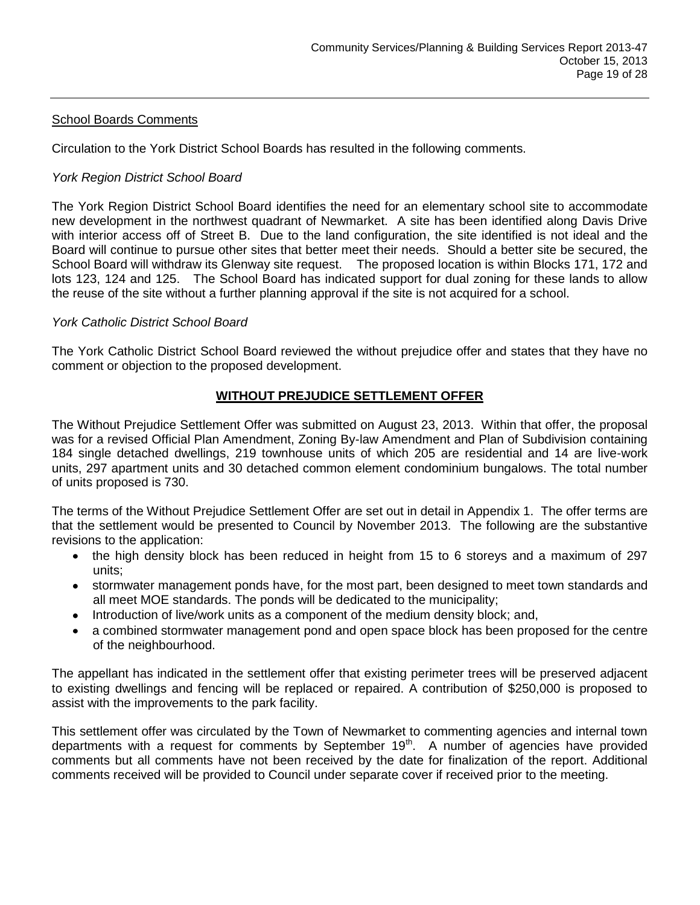# School Boards Comments

Circulation to the York District School Boards has resulted in the following comments.

# *York Region District School Board*

The York Region District School Board identifies the need for an elementary school site to accommodate new development in the northwest quadrant of Newmarket. A site has been identified along Davis Drive with interior access off of Street B. Due to the land configuration, the site identified is not ideal and the Board will continue to pursue other sites that better meet their needs. Should a better site be secured, the School Board will withdraw its Glenway site request. The proposed location is within Blocks 171, 172 and lots 123, 124 and 125. The School Board has indicated support for dual zoning for these lands to allow the reuse of the site without a further planning approval if the site is not acquired for a school.

# *York Catholic District School Board*

The York Catholic District School Board reviewed the without prejudice offer and states that they have no comment or objection to the proposed development.

# **WITHOUT PREJUDICE SETTLEMENT OFFER**

The Without Prejudice Settlement Offer was submitted on August 23, 2013. Within that offer, the proposal was for a revised Official Plan Amendment, Zoning By-law Amendment and Plan of Subdivision containing 184 single detached dwellings, 219 townhouse units of which 205 are residential and 14 are live-work units, 297 apartment units and 30 detached common element condominium bungalows. The total number of units proposed is 730.

The terms of the Without Prejudice Settlement Offer are set out in detail in Appendix 1. The offer terms are that the settlement would be presented to Council by November 2013. The following are the substantive revisions to the application:

- the high density block has been reduced in height from 15 to 6 storeys and a maximum of 297 units;
- stormwater management ponds have, for the most part, been designed to meet town standards and  $\bullet$ all meet MOE standards. The ponds will be dedicated to the municipality;
- Introduction of live/work units as a component of the medium density block; and,
- a combined stormwater management pond and open space block has been proposed for the centre of the neighbourhood.

The appellant has indicated in the settlement offer that existing perimeter trees will be preserved adjacent to existing dwellings and fencing will be replaced or repaired. A contribution of \$250,000 is proposed to assist with the improvements to the park facility.

This settlement offer was circulated by the Town of Newmarket to commenting agencies and internal town departments with a request for comments by September 19<sup>th</sup>. A number of agencies have provided comments but all comments have not been received by the date for finalization of the report. Additional comments received will be provided to Council under separate cover if received prior to the meeting.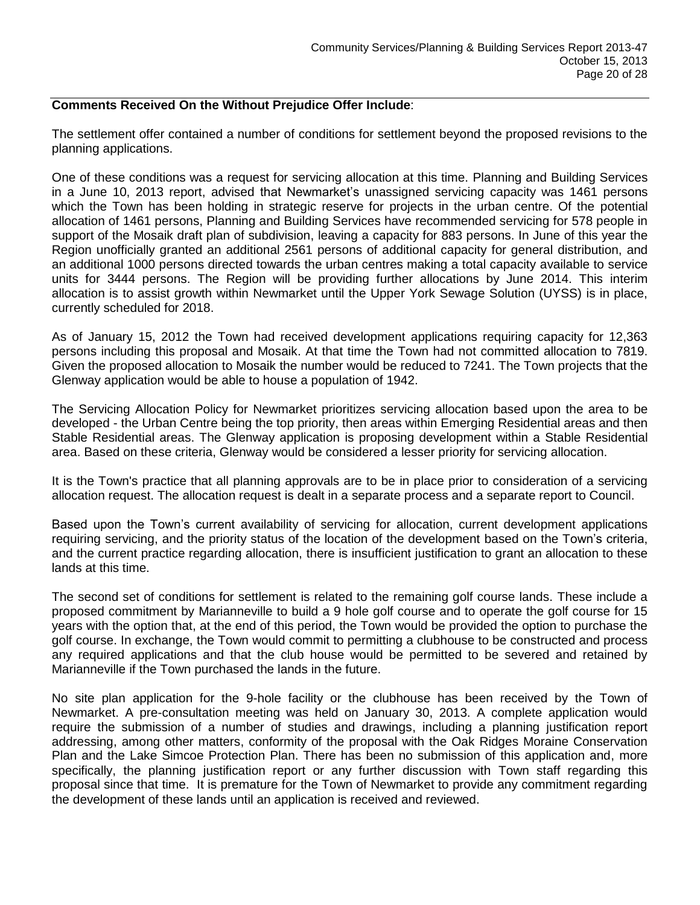# **Comments Received On the Without Prejudice Offer Include**:

The settlement offer contained a number of conditions for settlement beyond the proposed revisions to the planning applications.

One of these conditions was a request for servicing allocation at this time. Planning and Building Services in a June 10, 2013 report, advised that Newmarket's unassigned servicing capacity was 1461 persons which the Town has been holding in strategic reserve for projects in the urban centre. Of the potential allocation of 1461 persons, Planning and Building Services have recommended servicing for 578 people in support of the Mosaik draft plan of subdivision, leaving a capacity for 883 persons. In June of this year the Region unofficially granted an additional 2561 persons of additional capacity for general distribution, and an additional 1000 persons directed towards the urban centres making a total capacity available to service units for 3444 persons. The Region will be providing further allocations by June 2014. This interim allocation is to assist growth within Newmarket until the Upper York Sewage Solution (UYSS) is in place, currently scheduled for 2018.

As of January 15, 2012 the Town had received development applications requiring capacity for 12,363 persons including this proposal and Mosaik. At that time the Town had not committed allocation to 7819. Given the proposed allocation to Mosaik the number would be reduced to 7241. The Town projects that the Glenway application would be able to house a population of 1942.

The Servicing Allocation Policy for Newmarket prioritizes servicing allocation based upon the area to be developed - the Urban Centre being the top priority, then areas within Emerging Residential areas and then Stable Residential areas. The Glenway application is proposing development within a Stable Residential area. Based on these criteria, Glenway would be considered a lesser priority for servicing allocation.

It is the Town's practice that all planning approvals are to be in place prior to consideration of a servicing allocation request. The allocation request is dealt in a separate process and a separate report to Council.

Based upon the Town's current availability of servicing for allocation, current development applications requiring servicing, and the priority status of the location of the development based on the Town's criteria, and the current practice regarding allocation, there is insufficient justification to grant an allocation to these lands at this time.

The second set of conditions for settlement is related to the remaining golf course lands. These include a proposed commitment by Marianneville to build a 9 hole golf course and to operate the golf course for 15 years with the option that, at the end of this period, the Town would be provided the option to purchase the golf course. In exchange, the Town would commit to permitting a clubhouse to be constructed and process any required applications and that the club house would be permitted to be severed and retained by Marianneville if the Town purchased the lands in the future.

No site plan application for the 9-hole facility or the clubhouse has been received by the Town of Newmarket. A pre-consultation meeting was held on January 30, 2013. A complete application would require the submission of a number of studies and drawings, including a planning justification report addressing, among other matters, conformity of the proposal with the Oak Ridges Moraine Conservation Plan and the Lake Simcoe Protection Plan. There has been no submission of this application and, more specifically, the planning justification report or any further discussion with Town staff regarding this proposal since that time. It is premature for the Town of Newmarket to provide any commitment regarding the development of these lands until an application is received and reviewed.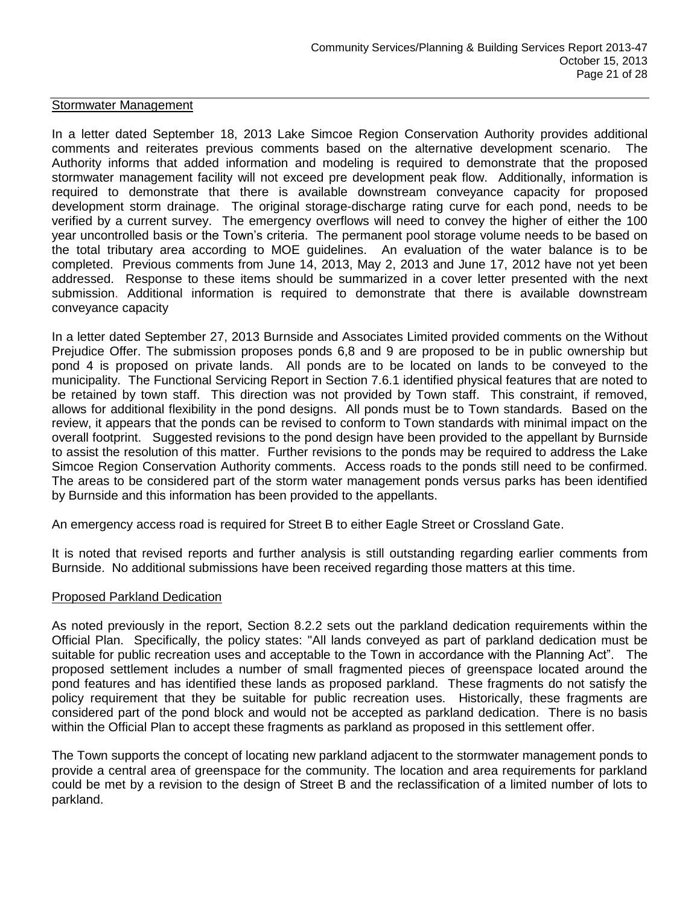#### Stormwater Management

In a letter dated September 18, 2013 Lake Simcoe Region Conservation Authority provides additional comments and reiterates previous comments based on the alternative development scenario. The Authority informs that added information and modeling is required to demonstrate that the proposed stormwater management facility will not exceed pre development peak flow. Additionally, information is required to demonstrate that there is available downstream conveyance capacity for proposed development storm drainage. The original storage-discharge rating curve for each pond, needs to be verified by a current survey. The emergency overflows will need to convey the higher of either the 100 year uncontrolled basis or the Town's criteria. The permanent pool storage volume needs to be based on the total tributary area according to MOE guidelines. An evaluation of the water balance is to be completed. Previous comments from June 14, 2013, May 2, 2013 and June 17, 2012 have not yet been addressed. Response to these items should be summarized in a cover letter presented with the next submission. Additional information is required to demonstrate that there is available downstream conveyance capacity

In a letter dated September 27, 2013 Burnside and Associates Limited provided comments on the Without Prejudice Offer. The submission proposes ponds 6,8 and 9 are proposed to be in public ownership but pond 4 is proposed on private lands. All ponds are to be located on lands to be conveyed to the municipality. The Functional Servicing Report in Section 7.6.1 identified physical features that are noted to be retained by town staff. This direction was not provided by Town staff. This constraint, if removed, allows for additional flexibility in the pond designs. All ponds must be to Town standards. Based on the review, it appears that the ponds can be revised to conform to Town standards with minimal impact on the overall footprint. Suggested revisions to the pond design have been provided to the appellant by Burnside to assist the resolution of this matter. Further revisions to the ponds may be required to address the Lake Simcoe Region Conservation Authority comments. Access roads to the ponds still need to be confirmed. The areas to be considered part of the storm water management ponds versus parks has been identified by Burnside and this information has been provided to the appellants.

An emergency access road is required for Street B to either Eagle Street or Crossland Gate.

It is noted that revised reports and further analysis is still outstanding regarding earlier comments from Burnside. No additional submissions have been received regarding those matters at this time.

#### Proposed Parkland Dedication

As noted previously in the report, Section 8.2.2 sets out the parkland dedication requirements within the Official Plan. Specifically, the policy states: "All lands conveyed as part of parkland dedication must be suitable for public recreation uses and acceptable to the Town in accordance with the Planning Act". The proposed settlement includes a number of small fragmented pieces of greenspace located around the pond features and has identified these lands as proposed parkland. These fragments do not satisfy the policy requirement that they be suitable for public recreation uses. Historically, these fragments are considered part of the pond block and would not be accepted as parkland dedication. There is no basis within the Official Plan to accept these fragments as parkland as proposed in this settlement offer.

The Town supports the concept of locating new parkland adjacent to the stormwater management ponds to provide a central area of greenspace for the community. The location and area requirements for parkland could be met by a revision to the design of Street B and the reclassification of a limited number of lots to parkland.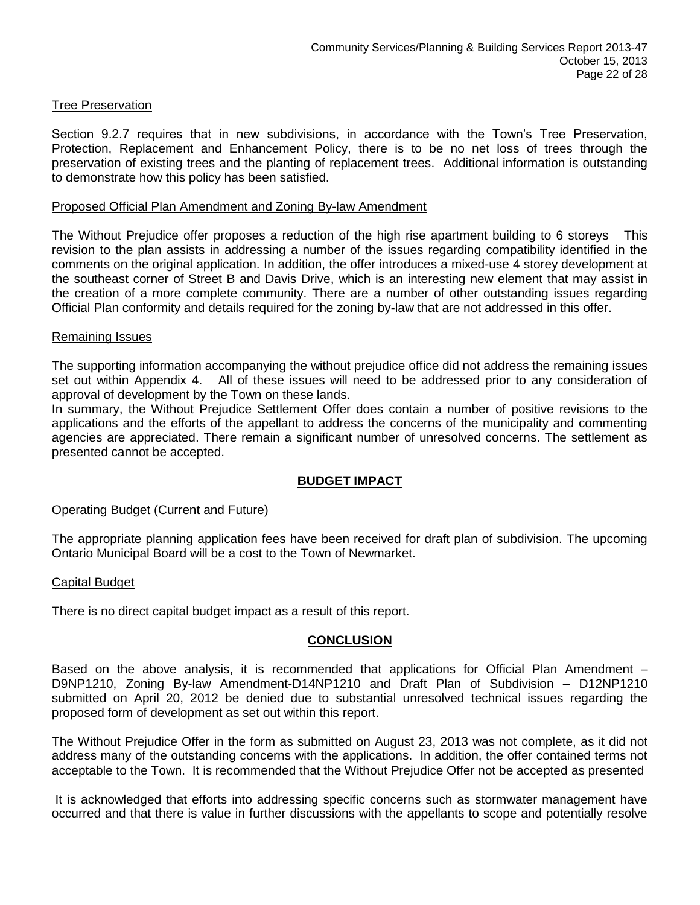#### Tree Preservation

Section 9.2.7 requires that in new subdivisions, in accordance with the Town's Tree Preservation, Protection, Replacement and Enhancement Policy, there is to be no net loss of trees through the preservation of existing trees and the planting of replacement trees. Additional information is outstanding to demonstrate how this policy has been satisfied.

# Proposed Official Plan Amendment and Zoning By-law Amendment

The Without Prejudice offer proposes a reduction of the high rise apartment building to 6 storeys This revision to the plan assists in addressing a number of the issues regarding compatibility identified in the comments on the original application. In addition, the offer introduces a mixed-use 4 storey development at the southeast corner of Street B and Davis Drive, which is an interesting new element that may assist in the creation of a more complete community. There are a number of other outstanding issues regarding Official Plan conformity and details required for the zoning by-law that are not addressed in this offer.

#### Remaining Issues

The supporting information accompanying the without prejudice office did not address the remaining issues set out within Appendix 4. All of these issues will need to be addressed prior to any consideration of approval of development by the Town on these lands.

In summary, the Without Prejudice Settlement Offer does contain a number of positive revisions to the applications and the efforts of the appellant to address the concerns of the municipality and commenting agencies are appreciated. There remain a significant number of unresolved concerns. The settlement as presented cannot be accepted.

# **BUDGET IMPACT**

# Operating Budget (Current and Future)

The appropriate planning application fees have been received for draft plan of subdivision. The upcoming Ontario Municipal Board will be a cost to the Town of Newmarket.

#### Capital Budget

There is no direct capital budget impact as a result of this report.

# **CONCLUSION**

Based on the above analysis, it is recommended that applications for Official Plan Amendment – D9NP1210, Zoning By-law Amendment-D14NP1210 and Draft Plan of Subdivision – D12NP1210 submitted on April 20, 2012 be denied due to substantial unresolved technical issues regarding the proposed form of development as set out within this report.

The Without Prejudice Offer in the form as submitted on August 23, 2013 was not complete, as it did not address many of the outstanding concerns with the applications. In addition, the offer contained terms not acceptable to the Town. It is recommended that the Without Prejudice Offer not be accepted as presented

It is acknowledged that efforts into addressing specific concerns such as stormwater management have occurred and that there is value in further discussions with the appellants to scope and potentially resolve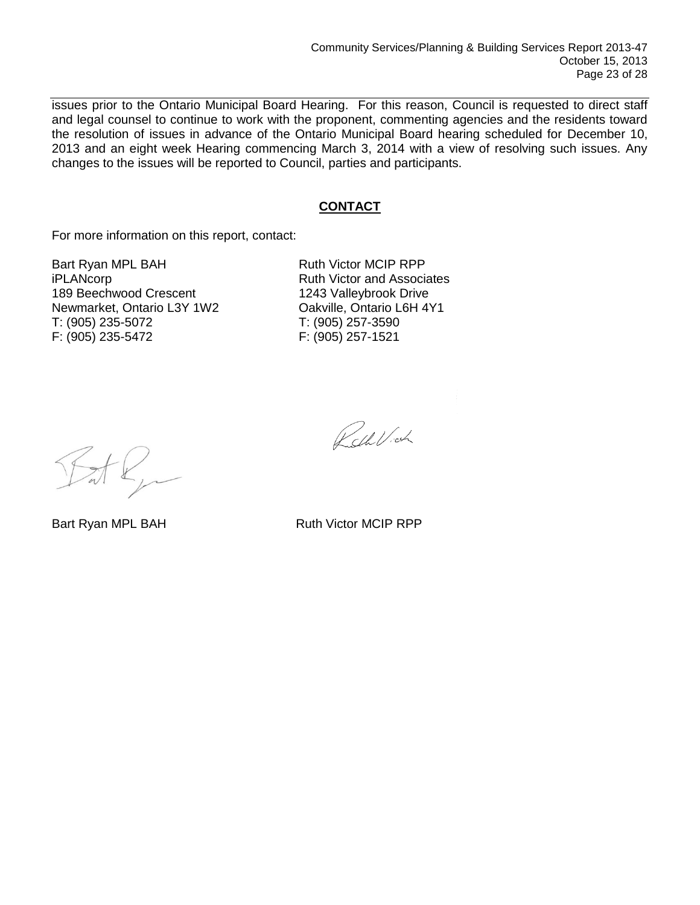issues prior to the Ontario Municipal Board Hearing. For this reason, Council is requested to direct staff and legal counsel to continue to work with the proponent, commenting agencies and the residents toward the resolution of issues in advance of the Ontario Municipal Board hearing scheduled for December 10, 2013 and an eight week Hearing commencing March 3, 2014 with a view of resolving such issues. Any changes to the issues will be reported to Council, parties and participants.

# **CONTACT**

For more information on this report, contact:

Bart Ryan MPL BAH Ruth Victor MCIP RPP iPLANcorp **Ruth Victor and Associates** 189 Beechwood Crescent 1243 Valleybrook Drive Newmarket, Ontario L3Y 1W2 Oakville, Ontario L6H 4Y1 T: (905) 235-5072 T: (905) 257-3590 F: (905) 235-5472 F: (905) 257-1521

Pell Vich

Bart Ryan MPL BAH Ruth Victor MCIP RPP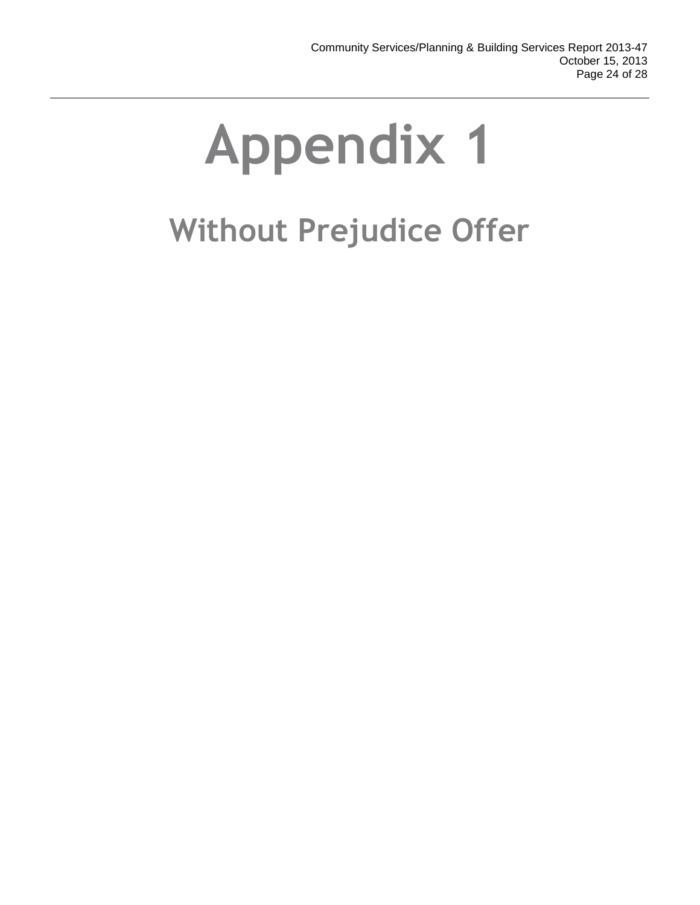# **Without Prejudice Offer**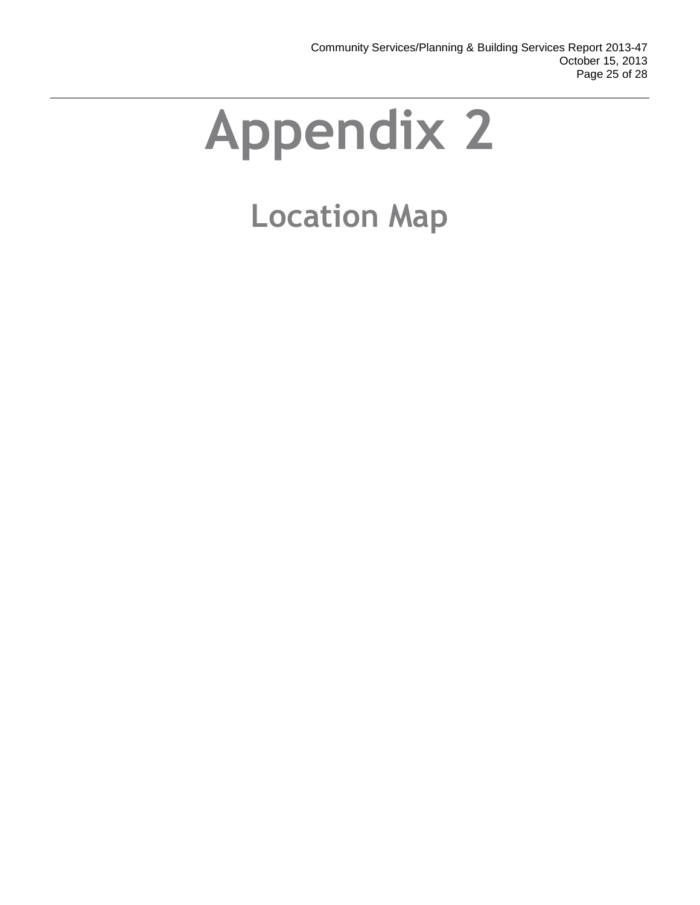# **Location Map**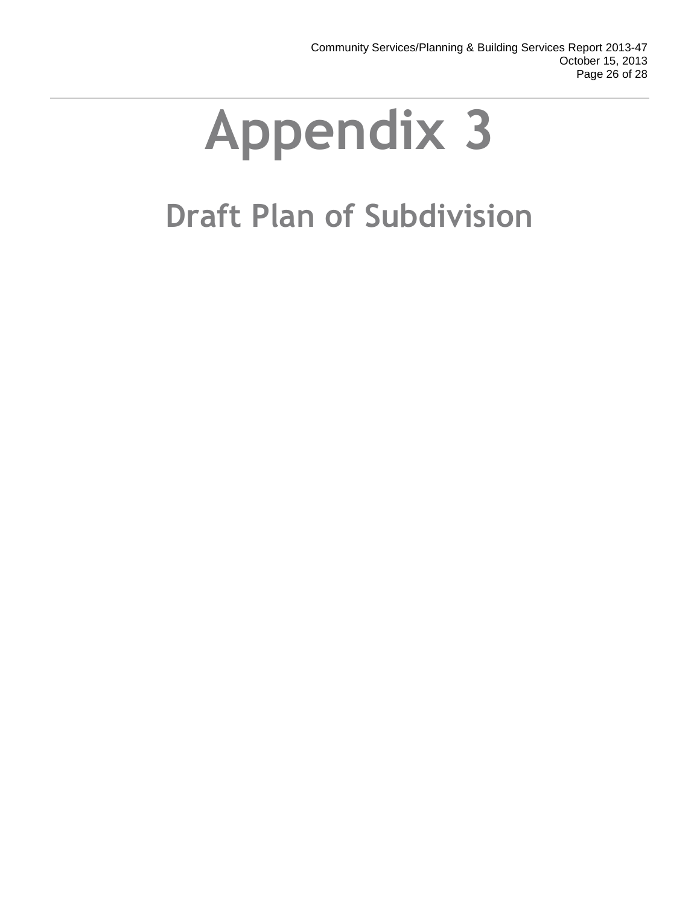# **Draft Plan of Subdivision**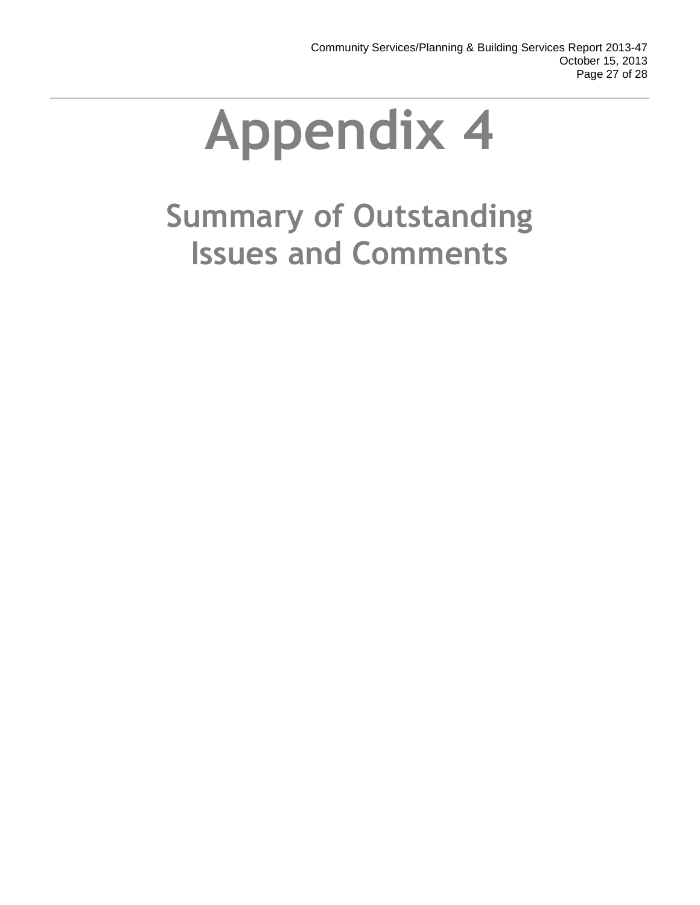# **Summary of Outstanding Issues and Comments**